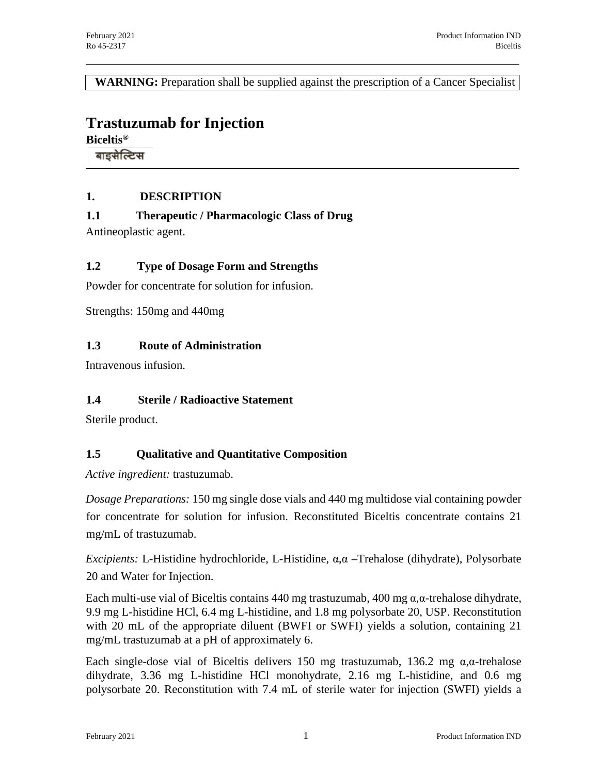**WARNING:** Preparation shall be supplied against the prescription of a Cancer Specialist

# **Trastuzumab for Injection**

**Biceltis®**

बाइसेल्टिस

### **1. DESCRIPTION**

**1.1 Therapeutic / Pharmacologic Class of Drug**

Antineoplastic agent.

### **1.2 Type of Dosage Form and Strengths**

Powder for concentrate for solution for infusion.

Strengths: 150mg and 440mg

### **1.3 Route of Administration**

Intravenous infusion.

### **1.4 Sterile / Radioactive Statement**

Sterile product.

### **1.5 Qualitative and Quantitative Composition**

*Active ingredient:* trastuzumab.

*Dosage Preparations:* 150 mg single dose vials and 440 mg multidose vial containing powder for concentrate for solution for infusion. Reconstituted Biceltis concentrate contains 21 mg/mL of trastuzumab.

*Excipients:* L-Histidine hydrochloride, L-Histidine, α,α –Trehalose (dihydrate), Polysorbate 20 and Water for Injection.

Each multi-use vial of Biceltis contains 440 mg trastuzumab, 400 mg  $\alpha, \alpha$ -trehalose dihydrate, 9.9 mg L-histidine HCl, 6.4 mg L-histidine, and 1.8 mg polysorbate 20, USP. Reconstitution with 20 mL of the appropriate diluent (BWFI or SWFI) yields a solution, containing 21 mg/mL trastuzumab at a pH of approximately 6.

Each single-dose vial of Biceltis delivers 150 mg trastuzumab, 136.2 mg  $\alpha$ , $\alpha$ -trehalose dihydrate, 3.36 mg L-histidine HCl monohydrate, 2.16 mg L-histidine, and 0.6 mg polysorbate 20. Reconstitution with 7.4 mL of sterile water for injection (SWFI) yields a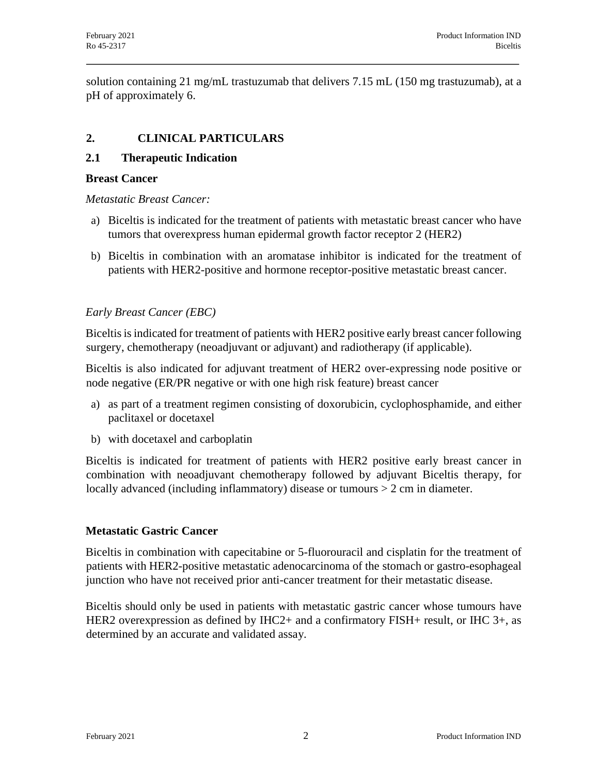solution containing 21 mg/mL trastuzumab that delivers 7.15 mL (150 mg trastuzumab), at a pH of approximately 6.

## **2. CLINICAL PARTICULARS**

### **2.1 Therapeutic Indication**

#### **Breast Cancer**

*Metastatic Breast Cancer:*

- a) Biceltis is indicated for the treatment of patients with metastatic breast cancer who have tumors that overexpress human epidermal growth factor receptor 2 (HER2)
- b) Biceltis in combination with an aromatase inhibitor is indicated for the treatment of patients with HER2-positive and hormone receptor-positive metastatic breast cancer.

### *Early Breast Cancer (EBC)*

Biceltis is indicated for treatment of patients with HER2 positive early breast cancer following surgery, chemotherapy (neoadjuvant or adjuvant) and radiotherapy (if applicable).

Biceltis is also indicated for adjuvant treatment of HER2 over-expressing node positive or node negative (ER/PR negative or with one high risk feature) breast cancer

- a) as part of a treatment regimen consisting of doxorubicin, cyclophosphamide, and either paclitaxel or docetaxel
- b) with docetaxel and carboplatin

Biceltis is indicated for treatment of patients with HER2 positive early breast cancer in combination with neoadjuvant chemotherapy followed by adjuvant Biceltis therapy, for locally advanced (including inflammatory) disease or tumours > 2 cm in diameter.

### **Metastatic Gastric Cancer**

Biceltis in combination with capecitabine or 5-fluorouracil and cisplatin for the treatment of patients with HER2-positive metastatic adenocarcinoma of the stomach or gastro-esophageal junction who have not received prior anti-cancer treatment for their metastatic disease.

Biceltis should only be used in patients with metastatic gastric cancer whose tumours have HER2 overexpression as defined by IHC2+ and a confirmatory FISH+ result, or IHC 3+, as determined by an accurate and validated assay.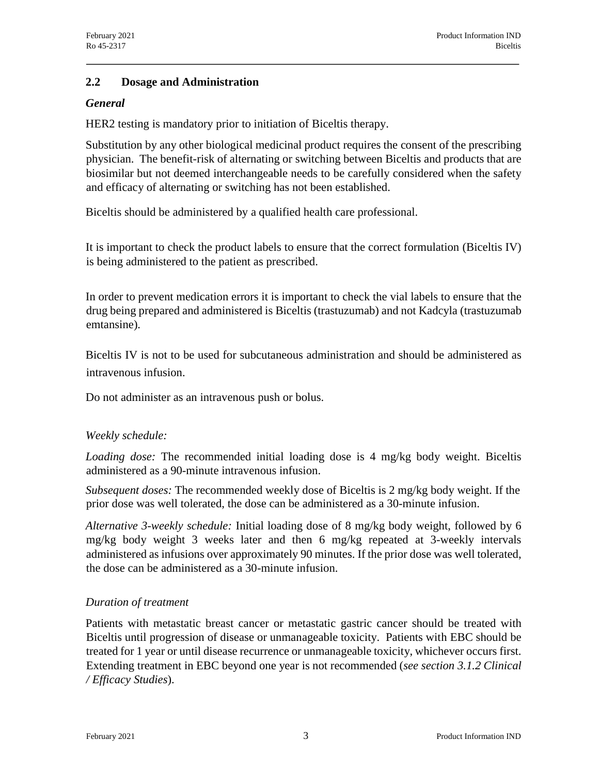### **2.2 Dosage and Administration**

### *General*

HER2 testing is mandatory prior to initiation of Biceltis therapy.

Substitution by any other biological medicinal product requires the consent of the prescribing physician. The benefit-risk of alternating or switching between Biceltis and products that are biosimilar but not deemed interchangeable needs to be carefully considered when the safety and efficacy of alternating or switching has not been established.

Biceltis should be administered by a qualified health care professional.

It is important to check the product labels to ensure that the correct formulation (Biceltis IV) is being administered to the patient as prescribed.

In order to prevent medication errors it is important to check the vial labels to ensure that the drug being prepared and administered is Biceltis (trastuzumab) and not Kadcyla (trastuzumab emtansine).

Biceltis IV is not to be used for subcutaneous administration and should be administered as intravenous infusion.

Do not administer as an intravenous push or bolus.

### *Weekly schedule:*

*Loading dose:* The recommended initial loading dose is 4 mg/kg body weight. Biceltis administered as a 90-minute intravenous infusion.

*Subsequent doses:* The recommended weekly dose of Biceltis is 2 mg/kg body weight. If the prior dose was well tolerated, the dose can be administered as a 30-minute infusion.

*Alternative 3-weekly schedule:* Initial loading dose of 8 mg/kg body weight, followed by 6 mg/kg body weight 3 weeks later and then 6 mg/kg repeated at 3-weekly intervals administered as infusions over approximately 90 minutes. If the prior dose was well tolerated, the dose can be administered as a 30-minute infusion.

### *Duration of treatment*

Patients with metastatic breast cancer or metastatic gastric cancer should be treated with Biceltis until progression of disease or unmanageable toxicity. Patients with EBC should be treated for 1 year or until disease recurrence or unmanageable toxicity, whichever occurs first. Extending treatment in EBC beyond one year is not recommended (*see section 3.1.2 Clinical / Efficacy Studies*).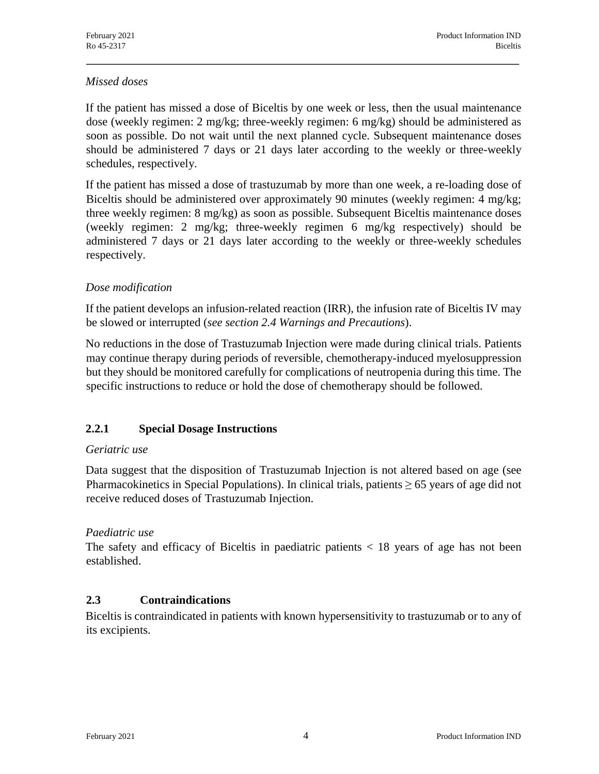### *Missed doses*

If the patient has missed a dose of Biceltis by one week or less, then the usual maintenance dose (weekly regimen: 2 mg/kg; three-weekly regimen: 6 mg/kg) should be administered as soon as possible. Do not wait until the next planned cycle. Subsequent maintenance doses should be administered 7 days or 21 days later according to the weekly or three-weekly schedules, respectively.

If the patient has missed a dose of trastuzumab by more than one week, a re-loading dose of Biceltis should be administered over approximately 90 minutes (weekly regimen: 4 mg/kg; three weekly regimen: 8 mg/kg) as soon as possible. Subsequent Biceltis maintenance doses (weekly regimen: 2 mg/kg; three-weekly regimen 6 mg/kg respectively) should be administered 7 days or 21 days later according to the weekly or three-weekly schedules respectively.

### *Dose modification*

If the patient develops an infusion-related reaction (IRR), the infusion rate of Biceltis IV may be slowed or interrupted (*see section 2.4 Warnings and Precautions*).

No reductions in the dose of Trastuzumab Injection were made during clinical trials. Patients may continue therapy during periods of reversible, chemotherapy-induced myelosuppression but they should be monitored carefully for complications of neutropenia during this time. The specific instructions to reduce or hold the dose of chemotherapy should be followed.

### **2.2.1 Special Dosage Instructions**

#### *Geriatric use*

Data suggest that the disposition of Trastuzumab Injection is not altered based on age (see Pharmacokinetics in Special Populations). In clinical trials, patients  $\geq 65$  years of age did not receive reduced doses of Trastuzumab Injection.

#### *Paediatric use*

The safety and efficacy of Biceltis in paediatric patients  $<$  18 years of age has not been established.

### **2.3 Contraindications**

Biceltis is contraindicated in patients with known hypersensitivity to trastuzumab or to any of its excipients.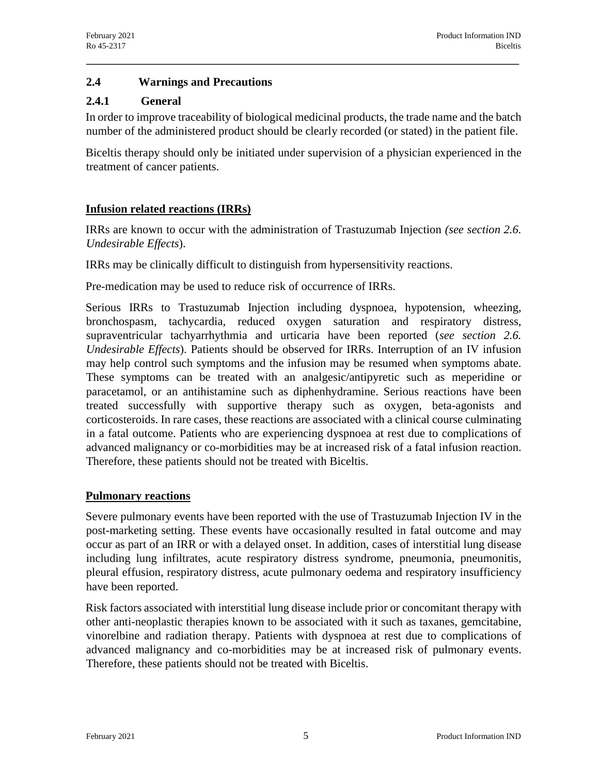### **2.4 Warnings and Precautions**

### **2.4.1 General**

In order to improve traceability of biological medicinal products, the trade name and the batch number of the administered product should be clearly recorded (or stated) in the patient file.

Biceltis therapy should only be initiated under supervision of a physician experienced in the treatment of cancer patients.

### **Infusion related reactions (IRRs)**

IRRs are known to occur with the administration of Trastuzumab Injection *(see section 2.6. Undesirable Effects*).

IRRs may be clinically difficult to distinguish from hypersensitivity reactions.

Pre-medication may be used to reduce risk of occurrence of IRRs.

Serious IRRs to Trastuzumab Injection including dyspnoea, hypotension, wheezing, bronchospasm, tachycardia, reduced oxygen saturation and respiratory distress, supraventricular tachyarrhythmia and urticaria have been reported (*see section 2.6. Undesirable Effects*). Patients should be observed for IRRs. Interruption of an IV infusion may help control such symptoms and the infusion may be resumed when symptoms abate. These symptoms can be treated with an analgesic/antipyretic such as meperidine or paracetamol, or an antihistamine such as diphenhydramine. Serious reactions have been treated successfully with supportive therapy such as oxygen, beta-agonists and corticosteroids. In rare cases, these reactions are associated with a clinical course culminating in a fatal outcome. Patients who are experiencing dyspnoea at rest due to complications of advanced malignancy or co-morbidities may be at increased risk of a fatal infusion reaction. Therefore, these patients should not be treated with Biceltis.

### **Pulmonary reactions**

Severe pulmonary events have been reported with the use of Trastuzumab Injection IV in the post-marketing setting. These events have occasionally resulted in fatal outcome and may occur as part of an IRR or with a delayed onset. In addition, cases of interstitial lung disease including lung infiltrates, acute respiratory distress syndrome, pneumonia, pneumonitis, pleural effusion, respiratory distress, acute pulmonary oedema and respiratory insufficiency have been reported.

Risk factors associated with interstitial lung disease include prior or concomitant therapy with other anti-neoplastic therapies known to be associated with it such as taxanes, gemcitabine, vinorelbine and radiation therapy. Patients with dyspnoea at rest due to complications of advanced malignancy and co-morbidities may be at increased risk of pulmonary events. Therefore, these patients should not be treated with Biceltis.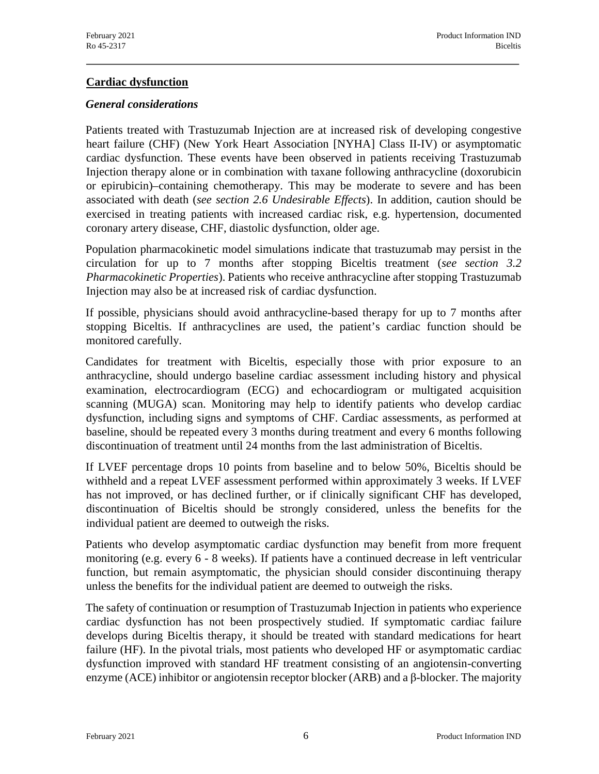### **Cardiac dysfunction**

#### *General considerations*

Patients treated with Trastuzumab Injection are at increased risk of developing congestive heart failure (CHF) (New York Heart Association [NYHA] Class II-IV) or asymptomatic cardiac dysfunction. These events have been observed in patients receiving Trastuzumab Injection therapy alone or in combination with taxane following anthracycline (doxorubicin or epirubicin)–containing chemotherapy. This may be moderate to severe and has been associated with death (*see section 2.6 Undesirable Effects*). In addition, caution should be exercised in treating patients with increased cardiac risk, e.g. hypertension, documented coronary artery disease, CHF, diastolic dysfunction, older age.

Population pharmacokinetic model simulations indicate that trastuzumab may persist in the circulation for up to 7 months after stopping Biceltis treatment (*see section 3.2 Pharmacokinetic Properties*). Patients who receive anthracycline after stopping Trastuzumab Injection may also be at increased risk of cardiac dysfunction.

If possible, physicians should avoid anthracycline-based therapy for up to 7 months after stopping Biceltis. If anthracyclines are used, the patient's cardiac function should be monitored carefully.

Candidates for treatment with Biceltis, especially those with prior exposure to an anthracycline, should undergo baseline cardiac assessment including history and physical examination, electrocardiogram (ECG) and echocardiogram or multigated acquisition scanning (MUGA) scan. Monitoring may help to identify patients who develop cardiac dysfunction, including signs and symptoms of CHF. Cardiac assessments, as performed at baseline, should be repeated every 3 months during treatment and every 6 months following discontinuation of treatment until 24 months from the last administration of Biceltis.

If LVEF percentage drops 10 points from baseline and to below 50%, Biceltis should be withheld and a repeat LVEF assessment performed within approximately 3 weeks. If LVEF has not improved, or has declined further, or if clinically significant CHF has developed, discontinuation of Biceltis should be strongly considered, unless the benefits for the individual patient are deemed to outweigh the risks.

Patients who develop asymptomatic cardiac dysfunction may benefit from more frequent monitoring (e.g. every 6 - 8 weeks). If patients have a continued decrease in left ventricular function, but remain asymptomatic, the physician should consider discontinuing therapy unless the benefits for the individual patient are deemed to outweigh the risks.

The safety of continuation or resumption of Trastuzumab Injection in patients who experience cardiac dysfunction has not been prospectively studied. If symptomatic cardiac failure develops during Biceltis therapy, it should be treated with standard medications for heart failure (HF). In the pivotal trials, most patients who developed HF or asymptomatic cardiac dysfunction improved with standard HF treatment consisting of an angiotensin-converting enzyme (ACE) inhibitor or angiotensin receptor blocker (ARB) and a β-blocker. The majority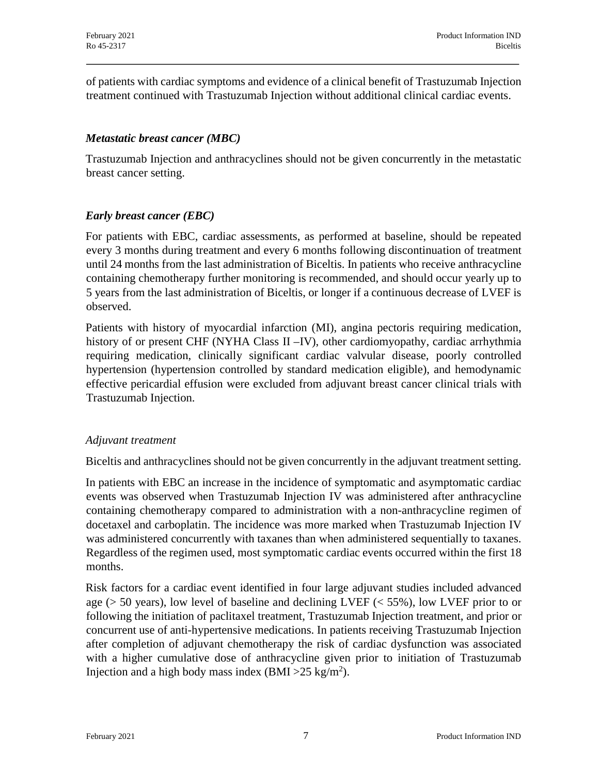of patients with cardiac symptoms and evidence of a clinical benefit of Trastuzumab Injection treatment continued with Trastuzumab Injection without additional clinical cardiac events.

### *Metastatic breast cancer (MBC)*

Trastuzumab Injection and anthracyclines should not be given concurrently in the metastatic breast cancer setting.

### *Early breast cancer (EBC)*

For patients with EBC, cardiac assessments, as performed at baseline, should be repeated every 3 months during treatment and every 6 months following discontinuation of treatment until 24 months from the last administration of Biceltis. In patients who receive anthracycline containing chemotherapy further monitoring is recommended, and should occur yearly up to 5 years from the last administration of Biceltis, or longer if a continuous decrease of LVEF is observed.

Patients with history of myocardial infarction (MI), angina pectoris requiring medication, history of or present CHF (NYHA Class II –IV), other cardiomyopathy, cardiac arrhythmia requiring medication, clinically significant cardiac valvular disease, poorly controlled hypertension (hypertension controlled by standard medication eligible), and hemodynamic effective pericardial effusion were excluded from adjuvant breast cancer clinical trials with Trastuzumab Injection.

### *Adjuvant treatment*

Biceltis and anthracyclines should not be given concurrently in the adjuvant treatment setting.

In patients with EBC an increase in the incidence of symptomatic and asymptomatic cardiac events was observed when Trastuzumab Injection IV was administered after anthracycline containing chemotherapy compared to administration with a non-anthracycline regimen of docetaxel and carboplatin. The incidence was more marked when Trastuzumab Injection IV was administered concurrently with taxanes than when administered sequentially to taxanes. Regardless of the regimen used, most symptomatic cardiac events occurred within the first 18 months.

Risk factors for a cardiac event identified in four large adjuvant studies included advanced age ( $> 50$  years), low level of baseline and declining LVEF ( $< 55\%$ ), low LVEF prior to or following the initiation of paclitaxel treatment, Trastuzumab Injection treatment, and prior or concurrent use of anti-hypertensive medications. In patients receiving Trastuzumab Injection after completion of adjuvant chemotherapy the risk of cardiac dysfunction was associated with a higher cumulative dose of anthracycline given prior to initiation of Trastuzumab Injection and a high body mass index (BMI >  $25 \text{ kg/m}^2$ ).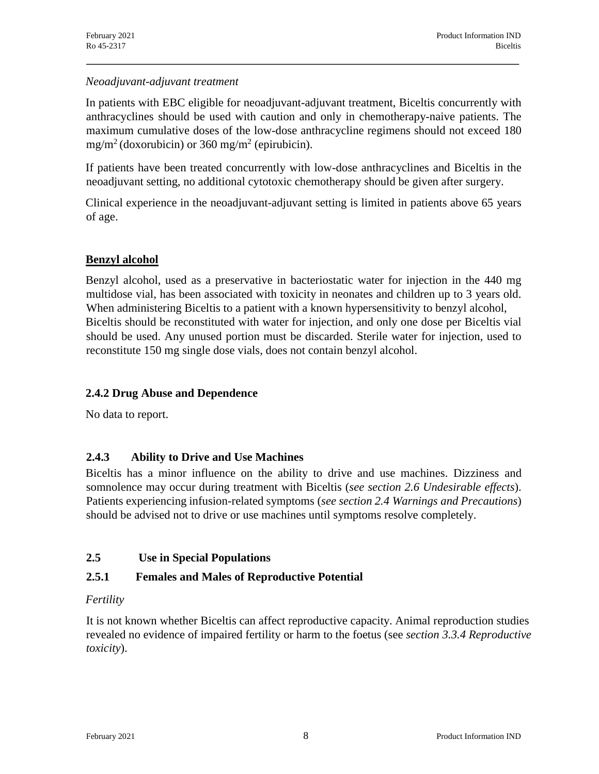### *Neoadjuvant-adjuvant treatment*

In patients with EBC eligible for neoadjuvant-adjuvant treatment, Biceltis concurrently with anthracyclines should be used with caution and only in chemotherapy-naive patients. The maximum cumulative doses of the low-dose anthracycline regimens should not exceed 180 mg/m<sup>2</sup> (doxorubicin) or 360 mg/m<sup>2</sup> (epirubicin).

If patients have been treated concurrently with low-dose anthracyclines and Biceltis in the neoadjuvant setting, no additional cytotoxic chemotherapy should be given after surgery.

Clinical experience in the neoadjuvant-adjuvant setting is limited in patients above 65 years of age.

## **Benzyl alcohol**

Benzyl alcohol, used as a preservative in bacteriostatic water for injection in the 440 mg multidose vial, has been associated with toxicity in neonates and children up to 3 years old. When administering Biceltis to a patient with a known hypersensitivity to benzyl alcohol, Biceltis should be reconstituted with water for injection, and only one dose per Biceltis vial should be used. Any unused portion must be discarded. Sterile water for injection, used to reconstitute 150 mg single dose vials, does not contain benzyl alcohol.

### **2.4.2 Drug Abuse and Dependence**

No data to report.

## **2.4.3 Ability to Drive and Use Machines**

Biceltis has a minor influence on the ability to drive and use machines. Dizziness and somnolence may occur during treatment with Biceltis (*see section 2.6 Undesirable effects*). Patients experiencing infusion-related symptoms (*see section 2.4 Warnings and Precautions*) should be advised not to drive or use machines until symptoms resolve completely.

## **2.5 Use in Special Populations**

# **2.5.1 Females and Males of Reproductive Potential**

# *Fertility*

It is not known whether Biceltis can affect reproductive capacity. Animal reproduction studies revealed no evidence of impaired fertility or harm to the foetus (see *section 3.3.4 Reproductive toxicity*).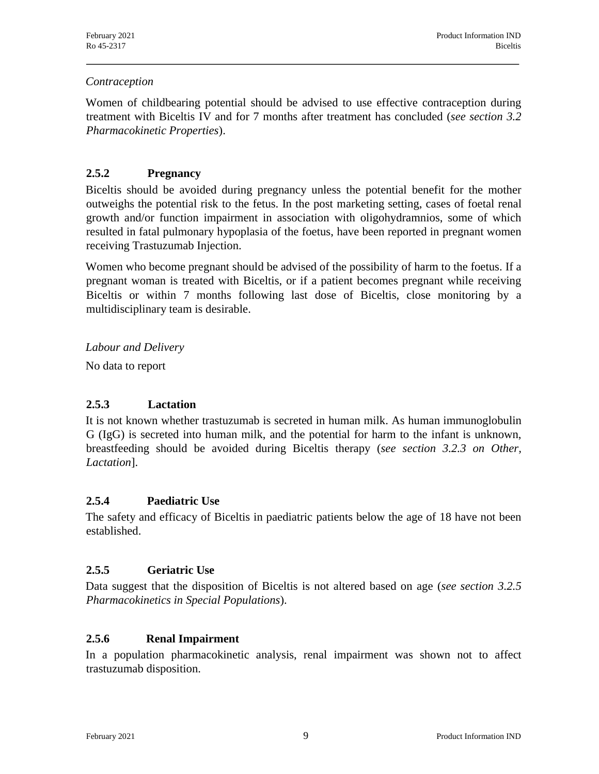### *Contraception*

Women of childbearing potential should be advised to use effective contraception during treatment with Biceltis IV and for 7 months after treatment has concluded (*see section 3.2 Pharmacokinetic Properties*).

## **2.5.2 Pregnancy**

Biceltis should be avoided during pregnancy unless the potential benefit for the mother outweighs the potential risk to the fetus. In the post marketing setting, cases of foetal renal growth and/or function impairment in association with oligohydramnios, some of which resulted in fatal pulmonary hypoplasia of the foetus, have been reported in pregnant women receiving Trastuzumab Injection.

Women who become pregnant should be advised of the possibility of harm to the foetus. If a pregnant woman is treated with Biceltis, or if a patient becomes pregnant while receiving Biceltis or within 7 months following last dose of Biceltis, close monitoring by a multidisciplinary team is desirable.

*Labour and Delivery*

No data to report

## **2.5.3 Lactation**

It is not known whether trastuzumab is secreted in human milk. As human immunoglobulin G (IgG) is secreted into human milk, and the potential for harm to the infant is unknown, breastfeeding should be avoided during Biceltis therapy (*see section 3.2.3 on Other, Lactation*].

### **2.5.4 Paediatric Use**

The safety and efficacy of Biceltis in paediatric patients below the age of 18 have not been established.

## **2.5.5 Geriatric Use**

Data suggest that the disposition of Biceltis is not altered based on age (*see section 3.2.5 Pharmacokinetics in Special Populations*).

## **2.5.6 Renal Impairment**

In a population pharmacokinetic analysis, renal impairment was shown not to affect trastuzumab disposition.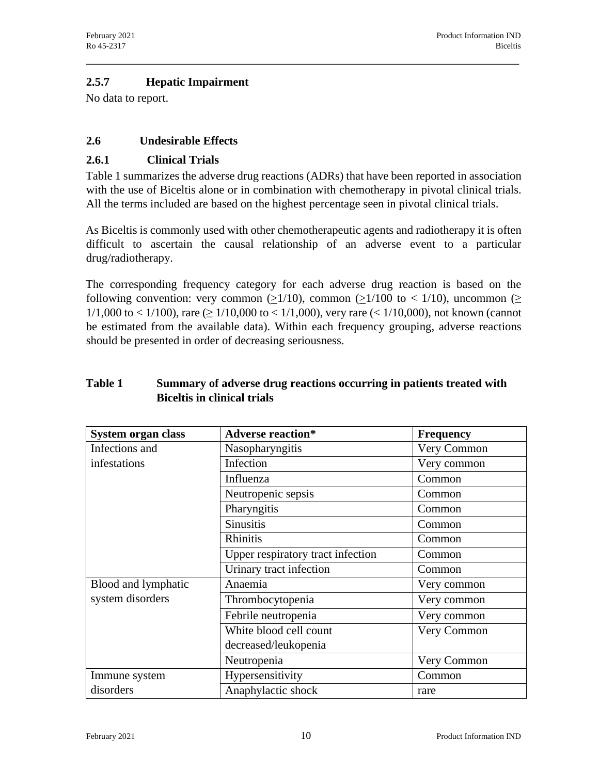### **2.5.7 Hepatic Impairment**

No data to report.

### **2.6 Undesirable Effects**

### **2.6.1 Clinical Trials**

Table 1 summarizes the adverse drug reactions (ADRs) that have been reported in association with the use of Biceltis alone or in combination with chemotherapy in pivotal clinical trials. All the terms included are based on the highest percentage seen in pivotal clinical trials.

As Biceltis is commonly used with other chemotherapeutic agents and radiotherapy it is often difficult to ascertain the causal relationship of an adverse event to a particular drug/radiotherapy.

The corresponding frequency category for each adverse drug reaction is based on the following convention: very common (>1/10), common (>1/100 to < 1/10), uncommon (> 1/1,000 to < 1/100), rare ( $\geq$  1/10,000 to < 1/1,000), very rare (< 1/10,000), not known (cannot be estimated from the available data). Within each frequency grouping, adverse reactions should be presented in order of decreasing seriousness.

### **Table 1 Summary of adverse drug reactions occurring in patients treated with Biceltis in clinical trials**

| System organ class  | <b>Adverse reaction*</b>          | <b>Frequency</b> |
|---------------------|-----------------------------------|------------------|
| Infections and      | Very Common<br>Nasopharyngitis    |                  |
| infestations        | Infection                         | Very common      |
|                     | Influenza                         | Common           |
|                     | Neutropenic sepsis                | Common           |
|                     | Pharyngitis                       | Common           |
|                     | <b>Sinusitis</b>                  | Common           |
|                     | Rhinitis                          | Common           |
|                     | Upper respiratory tract infection | Common           |
|                     | Urinary tract infection           | Common           |
| Blood and lymphatic | Anaemia                           | Very common      |
| system disorders    | Thrombocytopenia                  | Very common      |
|                     | Febrile neutropenia               | Very common      |
|                     | White blood cell count            | Very Common      |
|                     | decreased/leukopenia              |                  |
|                     | Neutropenia                       | Very Common      |
| Immune system       | Hypersensitivity                  | Common           |
| disorders           | Anaphylactic shock                | rare             |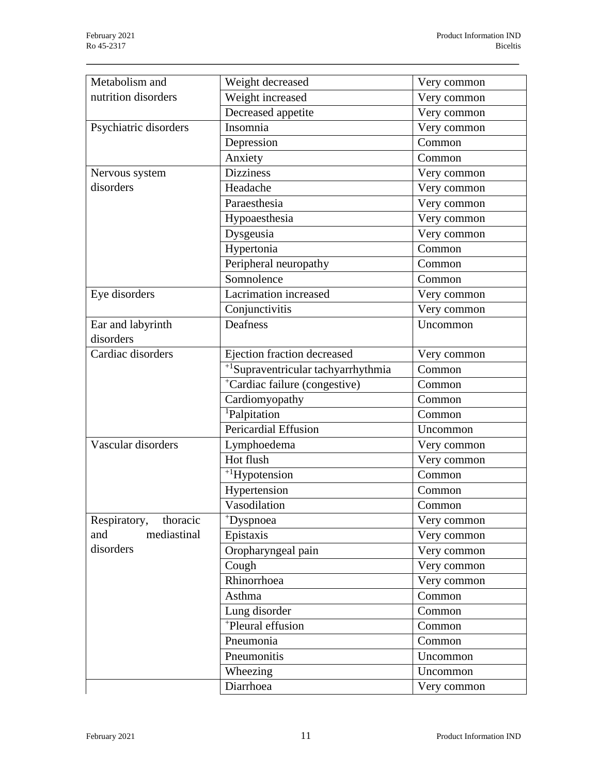| Metabolism and           | Weight decreased<br>Very common                |             |  |
|--------------------------|------------------------------------------------|-------------|--|
| nutrition disorders      | Weight increased<br>Very common                |             |  |
|                          | Decreased appetite                             | Very common |  |
| Psychiatric disorders    | Insomnia                                       | Very common |  |
|                          | Depression                                     | Common      |  |
|                          | Anxiety                                        | Common      |  |
| Nervous system           | <b>Dizziness</b>                               | Very common |  |
| disorders                | Headache                                       | Very common |  |
|                          | Paraesthesia                                   | Very common |  |
|                          | Hypoaesthesia                                  | Very common |  |
|                          | Dysgeusia                                      | Very common |  |
|                          | Hypertonia                                     | Common      |  |
|                          | Peripheral neuropathy                          | Common      |  |
|                          | Somnolence                                     | Common      |  |
| Eye disorders            | Lacrimation increased                          | Very common |  |
|                          | Conjunctivitis                                 | Very common |  |
| Ear and labyrinth        | Deafness                                       | Uncommon    |  |
| disorders                |                                                |             |  |
| Cardiac disorders        | Ejection fraction decreased                    | Very common |  |
|                          | $\frac{1}{1}$ Supraventricular tachyarrhythmia | Common      |  |
|                          | <sup>+</sup> Cardiac failure (congestive)      | Common      |  |
|                          | Cardiomyopathy                                 | Common      |  |
|                          | <sup>1</sup> Palpitation                       | Common      |  |
|                          | Pericardial Effusion                           | Uncommon    |  |
| Vascular disorders       | Lymphoedema                                    | Very common |  |
|                          | Hot flush                                      | Very common |  |
|                          | $^{+1}$ Hypotension                            | Common      |  |
|                          | Hypertension                                   | Common      |  |
|                          | Vasodilation                                   | Common      |  |
| Respiratory,<br>thoracic | *Dyspnoea                                      | Very common |  |
| mediastinal<br>and       | Epistaxis                                      | Very common |  |
| disorders                | Oropharyngeal pain                             | Very common |  |
|                          | Cough                                          | Very common |  |
|                          | Rhinorrhoea                                    | Very common |  |
|                          | Asthma                                         | Common      |  |
|                          | Lung disorder                                  | Common      |  |
|                          | <sup>+</sup> Pleural effusion                  | Common      |  |
|                          | Pneumonia                                      | Common      |  |
|                          | Pneumonitis<br>Uncommon                        |             |  |
|                          | Wheezing                                       | Uncommon    |  |
|                          | Diarrhoea                                      | Very common |  |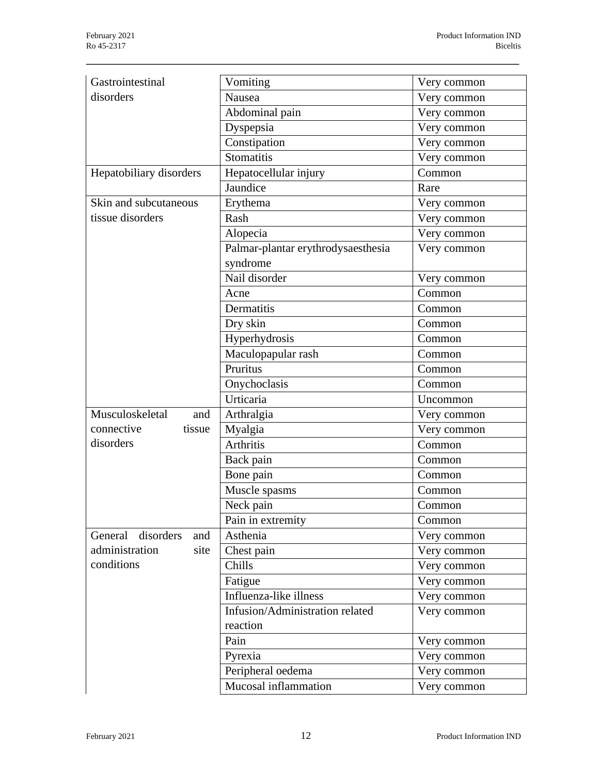| Gastrointestinal         | Vomiting                           | Very common |  |
|--------------------------|------------------------------------|-------------|--|
| disorders                | Nausea                             | Very common |  |
|                          | Abdominal pain                     | Very common |  |
|                          | Dyspepsia                          | Very common |  |
|                          | Constipation                       | Very common |  |
|                          | <b>Stomatitis</b>                  | Very common |  |
| Hepatobiliary disorders  | Hepatocellular injury              | Common      |  |
|                          | Jaundice                           | Rare        |  |
| Skin and subcutaneous    | Erythema                           | Very common |  |
| tissue disorders         | Rash                               | Very common |  |
|                          | Alopecia                           | Very common |  |
|                          | Palmar-plantar erythrodysaesthesia | Very common |  |
|                          | syndrome                           |             |  |
|                          | Nail disorder                      | Very common |  |
|                          | Acne                               | Common      |  |
|                          | Dermatitis                         | Common      |  |
|                          | Dry skin                           | Common      |  |
|                          | Hyperhydrosis                      | Common      |  |
|                          | Maculopapular rash                 | Common      |  |
|                          | Pruritus                           | Common      |  |
|                          | Onychoclasis                       | Common      |  |
|                          | Urticaria                          | Uncommon    |  |
| Musculoskeletal<br>and   | Arthralgia                         | Very common |  |
| connective<br>tissue     | Myalgia                            | Very common |  |
| disorders                | <b>Arthritis</b>                   | Common      |  |
|                          | Back pain                          | Common      |  |
|                          | Bone pain                          | Common      |  |
|                          | Muscle spasms                      | Common      |  |
|                          | Neck pain                          | Common      |  |
|                          | Pain in extremity                  | Common      |  |
| General disorders<br>and | Asthenia                           | Very common |  |
| administration<br>site   | Chest pain                         | Very common |  |
| conditions               | Chills                             | Very common |  |
|                          | Fatigue                            | Very common |  |
|                          | Influenza-like illness             | Very common |  |
|                          | Infusion/Administration related    | Very common |  |
|                          | reaction                           |             |  |
|                          | Pain                               | Very common |  |
|                          | Pyrexia                            |             |  |
|                          |                                    | Very common |  |
|                          | Peripheral oedema                  | Very common |  |
|                          | Mucosal inflammation               | Very common |  |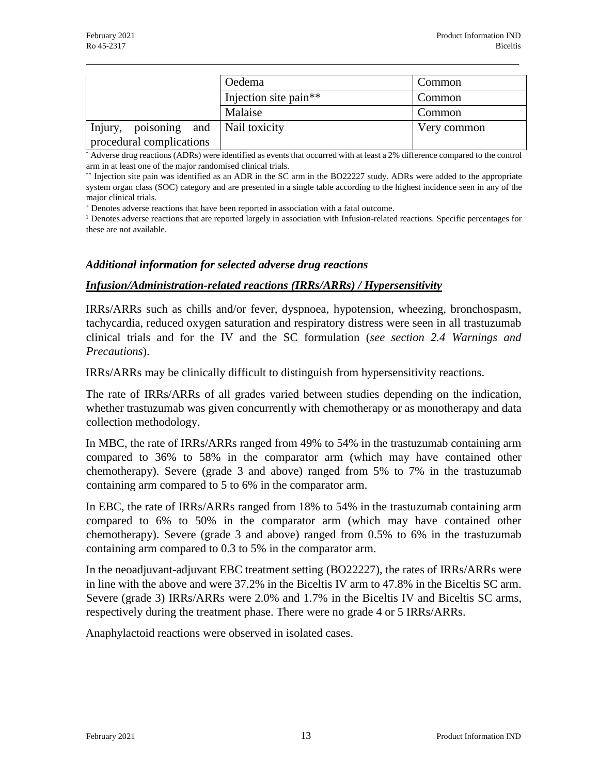|                                     | Oedema                            | Common      |  |
|-------------------------------------|-----------------------------------|-------------|--|
|                                     | Injection site pain <sup>**</sup> | Common      |  |
|                                     | Malaise                           | Common      |  |
| Injury, poisoning and Nail toxicity |                                   | Very common |  |
| procedural complications            |                                   |             |  |

\* Adverse drug reactions (ADRs) were identified as events that occurred with at least a 2% difference compared to the control arm in at least one of the major randomised clinical trials.

\*\* Injection site pain was identified as an ADR in the SC arm in the BO22227 study. ADRs were added to the appropriate system organ class (SOC) category and are presented in a single table according to the highest incidence seen in any of the major clinical trials.

<sup>+</sup> Denotes adverse reactions that have been reported in association with a fatal outcome.

<sup>1</sup> Denotes adverse reactions that are reported largely in association with Infusion-related reactions. Specific percentages for these are not available.

#### *Additional information for selected adverse drug reactions*

#### *Infusion/Administration-related reactions (IRRs/ARRs) / Hypersensitivity*

IRRs/ARRs such as chills and/or fever, dyspnoea, hypotension, wheezing, bronchospasm, tachycardia, reduced oxygen saturation and respiratory distress were seen in all trastuzumab clinical trials and for the IV and the SC formulation (*see section 2.4 Warnings and Precautions*).

IRRs/ARRs may be clinically difficult to distinguish from hypersensitivity reactions.

The rate of IRRs/ARRs of all grades varied between studies depending on the indication, whether trastuzumab was given concurrently with chemotherapy or as monotherapy and data collection methodology.

In MBC, the rate of IRRs/ARRs ranged from 49% to 54% in the trastuzumab containing arm compared to 36% to 58% in the comparator arm (which may have contained other chemotherapy). Severe (grade 3 and above) ranged from 5% to 7% in the trastuzumab containing arm compared to 5 to 6% in the comparator arm.

In EBC, the rate of IRRs/ARRs ranged from 18% to 54% in the trastuzumab containing arm compared to 6% to 50% in the comparator arm (which may have contained other chemotherapy). Severe (grade 3 and above) ranged from 0.5% to 6% in the trastuzumab containing arm compared to 0.3 to 5% in the comparator arm.

In the neoadjuvant-adjuvant EBC treatment setting (BO22227), the rates of IRRs/ARRs were in line with the above and were 37.2% in the Biceltis IV arm to 47.8% in the Biceltis SC arm. Severe (grade 3) IRRs/ARRs were 2.0% and 1.7% in the Biceltis IV and Biceltis SC arms, respectively during the treatment phase. There were no grade 4 or 5 IRRs/ARRs.

Anaphylactoid reactions were observed in isolated cases.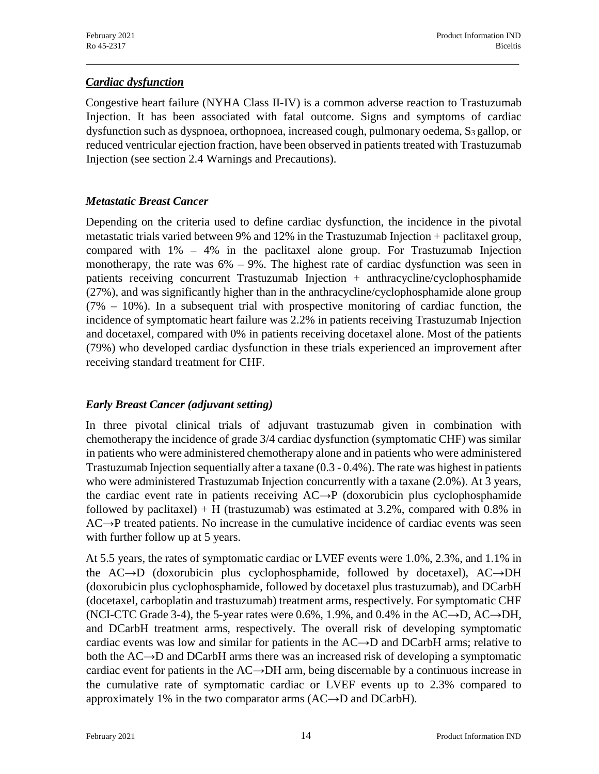### *Cardiac dysfunction*

Congestive heart failure (NYHA Class II-IV) is a common adverse reaction to Trastuzumab Injection. It has been associated with fatal outcome. Signs and symptoms of cardiac dysfunction such as dyspnoea, orthopnoea, increased cough, pulmonary oedema,  $S_3$  gallop, or reduced ventricular ejection fraction, have been observed in patients treated with Trastuzumab Injection (see section 2.4 Warnings and Precautions).

### *Metastatic Breast Cancer*

Depending on the criteria used to define cardiac dysfunction, the incidence in the pivotal metastatic trials varied between 9% and 12% in the Trastuzumab Injection + paclitaxel group, compared with 1% – 4% in the paclitaxel alone group. For Trastuzumab Injection monotherapy, the rate was  $6\% - 9\%$ . The highest rate of cardiac dysfunction was seen in patients receiving concurrent Trastuzumab Injection + anthracycline/cyclophosphamide (27%), and was significantly higher than in the anthracycline/cyclophosphamide alone group (7% – 10%). In a subsequent trial with prospective monitoring of cardiac function, the incidence of symptomatic heart failure was 2.2% in patients receiving Trastuzumab Injection and docetaxel, compared with 0% in patients receiving docetaxel alone. Most of the patients (79%) who developed cardiac dysfunction in these trials experienced an improvement after receiving standard treatment for CHF.

## *Early Breast Cancer (adjuvant setting)*

In three pivotal clinical trials of adjuvant trastuzumab given in combination with chemotherapy the incidence of grade 3/4 cardiac dysfunction (symptomatic CHF) was similar in patients who were administered chemotherapy alone and in patients who were administered Trastuzumab Injection sequentially after a taxane (0.3 - 0.4%). The rate was highest in patients who were administered Trastuzumab Injection concurrently with a taxane (2.0%). At 3 years, the cardiac event rate in patients receiving AC→P (doxorubicin plus cyclophosphamide followed by paclitaxel) + H (trastuzumab) was estimated at  $3.2\%$ , compared with 0.8% in AC→P treated patients. No increase in the cumulative incidence of cardiac events was seen with further follow up at 5 years.

At 5.5 years, the rates of symptomatic cardiac or LVEF events were 1.0%, 2.3%, and 1.1% in the AC→D (doxorubicin plus cyclophosphamide, followed by docetaxel), AC→DH (doxorubicin plus cyclophosphamide, followed by docetaxel plus trastuzumab), and DCarbH (docetaxel, carboplatin and trastuzumab) treatment arms, respectively. For symptomatic CHF (NCI-CTC Grade 3-4), the 5-year rates were 0.6%, 1.9%, and 0.4% in the  $AC\rightarrow D$ ,  $AC\rightarrow DH$ , and DCarbH treatment arms, respectively. The overall risk of developing symptomatic cardiac events was low and similar for patients in the  $AC \rightarrow D$  and  $DCarbH$  arms; relative to both the AC→D and DCarbH arms there was an increased risk of developing a symptomatic cardiac event for patients in the  $AC \rightarrow DH$  arm, being discernable by a continuous increase in the cumulative rate of symptomatic cardiac or LVEF events up to 2.3% compared to approximately 1% in the two comparator arms  $(AC\rightarrow D$  and  $DCarbH)$ .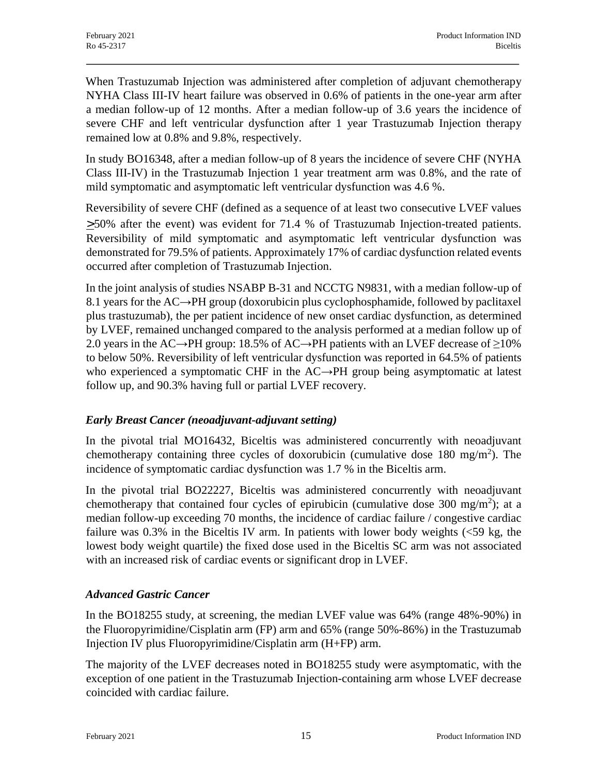When Trastuzumab Injection was administered after completion of adjuvant chemotherapy NYHA Class III-IV heart failure was observed in 0.6% of patients in the one-year arm after a median follow-up of 12 months. After a median follow-up of 3.6 years the incidence of severe CHF and left ventricular dysfunction after 1 year Trastuzumab Injection therapy remained low at 0.8% and 9.8%, respectively.

In study BO16348, after a median follow-up of 8 years the incidence of severe CHF (NYHA Class III-IV) in the Trastuzumab Injection 1 year treatment arm was 0.8%, and the rate of mild symptomatic and asymptomatic left ventricular dysfunction was 4.6 %.

Reversibility of severe CHF (defined as a sequence of at least two consecutive LVEF values  $>50\%$  after the event) was evident for 71.4 % of Trastuzumab Injection-treated patients. Reversibility of mild symptomatic and asymptomatic left ventricular dysfunction was demonstrated for 79.5% of patients. Approximately 17% of cardiac dysfunction related events occurred after completion of Trastuzumab Injection.

In the joint analysis of studies NSABP B-31 and NCCTG N9831, with a median follow-up of 8.1 years for the AC→PH group (doxorubicin plus cyclophosphamide, followed by paclitaxel plus trastuzumab), the per patient incidence of new onset cardiac dysfunction, as determined by LVEF, remained unchanged compared to the analysis performed at a median follow up of 2.0 years in the AC→PH group: 18.5% of AC→PH patients with an LVEF decrease of  $\geq$ 10% to below 50%. Reversibility of left ventricular dysfunction was reported in 64.5% of patients who experienced a symptomatic CHF in the AC→PH group being asymptomatic at latest follow up, and 90.3% having full or partial LVEF recovery.

## *Early Breast Cancer (neoadjuvant-adjuvant setting)*

In the pivotal trial MO16432, Biceltis was administered concurrently with neoadjuvant chemotherapy containing three cycles of doxorubicin (cumulative dose 180 mg/m<sup>2</sup>). The incidence of symptomatic cardiac dysfunction was 1.7 % in the Biceltis arm.

In the pivotal trial BO22227, Biceltis was administered concurrently with neoadjuvant chemotherapy that contained four cycles of epirubicin (cumulative dose 300 mg/m<sup>2</sup>); at a median follow-up exceeding 70 months, the incidence of cardiac failure / congestive cardiac failure was  $0.3\%$  in the Biceltis IV arm. In patients with lower body weights  $\langle$  <59 kg, the lowest body weight quartile) the fixed dose used in the Biceltis SC arm was not associated with an increased risk of cardiac events or significant drop in LVEF.

### *Advanced Gastric Cancer*

In the BO18255 study, at screening, the median LVEF value was 64% (range 48%-90%) in the Fluoropyrimidine/Cisplatin arm (FP) arm and 65% (range 50%-86%) in the Trastuzumab Injection IV plus Fluoropyrimidine/Cisplatin arm (H+FP) arm.

The majority of the LVEF decreases noted in BO18255 study were asymptomatic, with the exception of one patient in the Trastuzumab Injection-containing arm whose LVEF decrease coincided with cardiac failure.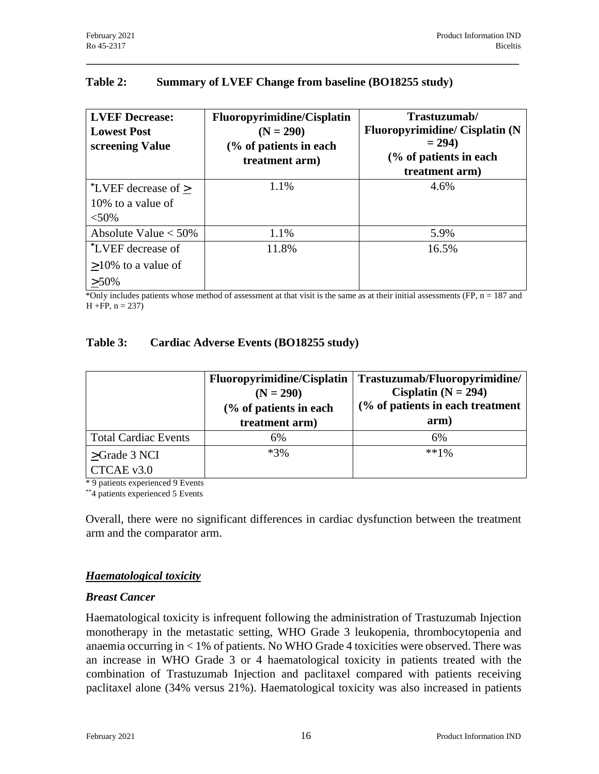### **Table 2: Summary of LVEF Change from baseline (BO18255 study)**

| <b>LVEF Decrease:</b><br><b>Lowest Post</b><br>screening Value | <b>Fluoropyrimidine/Cisplatin</b><br>$(N = 290)$<br>(% of patients in each<br>treatment arm) | Trastuzumab/<br><b>Fluoropyrimidine/ Cisplatin (N</b><br>$= 294$<br>(% of patients in each<br>treatment arm) |
|----------------------------------------------------------------|----------------------------------------------------------------------------------------------|--------------------------------------------------------------------------------------------------------------|
| *LVEF decrease of $\geq$<br>10% to a value of<br>$< 50\%$      | 1.1%                                                                                         | 4.6%                                                                                                         |
| Absolute Value $<$ 50%                                         | 1.1%                                                                                         | 5.9%                                                                                                         |
| *LVEF decrease of<br>$>10\%$ to a value of<br>$> 50\%$         | 11.8%                                                                                        | 16.5%                                                                                                        |

\*Only includes patients whose method of assessment at that visit is the same as at their initial assessments  $(FP, n = 187$  and  $H + FP$ ,  $n = 237$ )

#### **Table 3: Cardiac Adverse Events (BO18255 study)**

|                                | <b>Fluoropyrimidine/Cisplatin</b><br>$(N = 290)$<br>(% of patients in each<br>treatment arm) | Trastuzumab/Fluoropyrimidine/<br>Cisplatin ( $N = 294$ )<br>(% of patients in each treatment<br>arm) |
|--------------------------------|----------------------------------------------------------------------------------------------|------------------------------------------------------------------------------------------------------|
| <b>Total Cardiac Events</b>    | 6%                                                                                           | 6%                                                                                                   |
| $>\text{Grade } 3 \text{ NCI}$ | $*3\%$                                                                                       | $**1%$                                                                                               |
| CTCAE v3.0                     |                                                                                              |                                                                                                      |

\* 9 patients experienced 9 Events

\*\*4 patients experienced 5 Events

Overall, there were no significant differences in cardiac dysfunction between the treatment arm and the comparator arm.

### *Haematological toxicity*

#### *Breast Cancer*

Haematological toxicity is infrequent following the administration of Trastuzumab Injection monotherapy in the metastatic setting, WHO Grade 3 leukopenia, thrombocytopenia and anaemia occurring in < 1% of patients. No WHO Grade 4 toxicities were observed. There was an increase in WHO Grade 3 or 4 haematological toxicity in patients treated with the combination of Trastuzumab Injection and paclitaxel compared with patients receiving paclitaxel alone (34% versus 21%). Haematological toxicity was also increased in patients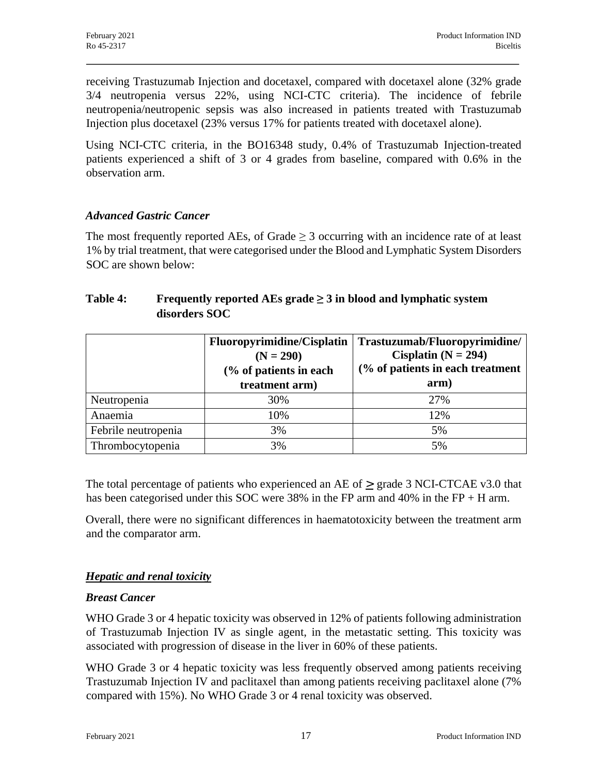receiving Trastuzumab Injection and docetaxel, compared with docetaxel alone (32% grade 3/4 neutropenia versus 22%, using NCI-CTC criteria). The incidence of febrile neutropenia/neutropenic sepsis was also increased in patients treated with Trastuzumab Injection plus docetaxel (23% versus 17% for patients treated with docetaxel alone).

Using NCI-CTC criteria, in the BO16348 study, 0.4% of Trastuzumab Injection-treated patients experienced a shift of 3 or 4 grades from baseline, compared with 0.6% in the observation arm.

### *Advanced Gastric Cancer*

The most frequently reported AEs, of Grade  $\geq$  3 occurring with an incidence rate of at least 1% by trial treatment, that were categorised under the Blood and Lymphatic System Disorders SOC are shown below:

### **Table 4: Frequently reported AEs grade ≥ 3 in blood and lymphatic system disorders SOC**

|                     | <b>Fluoropyrimidine/Cisplatin</b><br>$(N = 290)$<br>(% of patients in each<br>treatment arm) | Trastuzumab/Fluoropyrimidine/<br>Cisplatin ( $N = 294$ )<br>(% of patients in each treatment<br>arm) |
|---------------------|----------------------------------------------------------------------------------------------|------------------------------------------------------------------------------------------------------|
| Neutropenia         | 30%                                                                                          | 27%                                                                                                  |
| Anaemia             | 10%                                                                                          | 12%                                                                                                  |
| Febrile neutropenia | 3%                                                                                           | 5%                                                                                                   |
| Thrombocytopenia    | 3%                                                                                           | 5%                                                                                                   |

The total percentage of patients who experienced an AE of  $\geq$  grade 3 NCI-CTCAE v3.0 that has been categorised under this SOC were 38% in the FP arm and 40% in the FP + H arm.

Overall, there were no significant differences in haematotoxicity between the treatment arm and the comparator arm.

### *Hepatic and renal toxicity*

#### *Breast Cancer*

WHO Grade 3 or 4 hepatic toxicity was observed in 12% of patients following administration of Trastuzumab Injection IV as single agent, in the metastatic setting. This toxicity was associated with progression of disease in the liver in 60% of these patients.

WHO Grade 3 or 4 hepatic toxicity was less frequently observed among patients receiving Trastuzumab Injection IV and paclitaxel than among patients receiving paclitaxel alone (7% compared with 15%). No WHO Grade 3 or 4 renal toxicity was observed.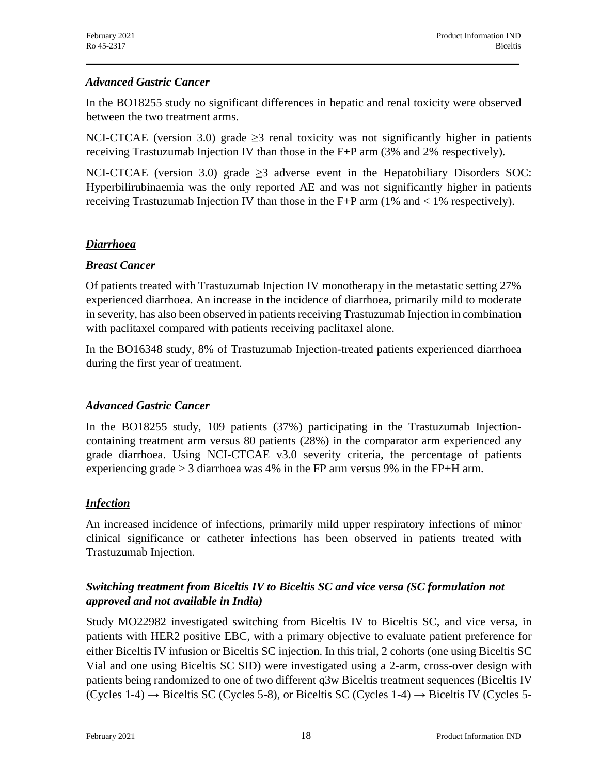### *Advanced Gastric Cancer*

In the BO18255 study no significant differences in hepatic and renal toxicity were observed between the two treatment arms.

NCI-CTCAE (version 3.0) grade  $\geq$ 3 renal toxicity was not significantly higher in patients receiving Trastuzumab Injection IV than those in the F+P arm (3% and 2% respectively).

NCI-CTCAE (version 3.0) grade  $\geq$ 3 adverse event in the Hepatobiliary Disorders SOC: Hyperbilirubinaemia was the only reported AE and was not significantly higher in patients receiving Trastuzumab Injection IV than those in the F+P arm  $(1\%$  and  $< 1\%$  respectively).

### *Diarrhoea*

### *Breast Cancer*

Of patients treated with Trastuzumab Injection IV monotherapy in the metastatic setting 27% experienced diarrhoea. An increase in the incidence of diarrhoea, primarily mild to moderate in severity, has also been observed in patients receiving Trastuzumab Injection in combination with paclitaxel compared with patients receiving paclitaxel alone.

In the BO16348 study, 8% of Trastuzumab Injection-treated patients experienced diarrhoea during the first year of treatment.

### *Advanced Gastric Cancer*

In the BO18255 study, 109 patients (37%) participating in the Trastuzumab Injectioncontaining treatment arm versus 80 patients (28%) in the comparator arm experienced any grade diarrhoea. Using NCI-CTCAE v3.0 severity criteria, the percentage of patients experiencing grade  $\geq$  3 diarrhoea was 4% in the FP arm versus 9% in the FP+H arm.

### *Infection*

An increased incidence of infections, primarily mild upper respiratory infections of minor clinical significance or catheter infections has been observed in patients treated with Trastuzumab Injection.

### *Switching treatment from Biceltis IV to Biceltis SC and vice versa (SC formulation not approved and not available in India)*

Study MO22982 investigated switching from Biceltis IV to Biceltis SC, and vice versa, in patients with HER2 positive EBC, with a primary objective to evaluate patient preference for either Biceltis IV infusion or Biceltis SC injection. In this trial, 2 cohorts (one using Biceltis SC Vial and one using Biceltis SC SID) were investigated using a 2-arm, cross-over design with patients being randomized to one of two different q3w Biceltis treatment sequences (Biceltis IV (Cycles 1-4)  $\rightarrow$  Biceltis SC (Cycles 5-8), or Biceltis SC (Cycles 1-4)  $\rightarrow$  Biceltis IV (Cycles 5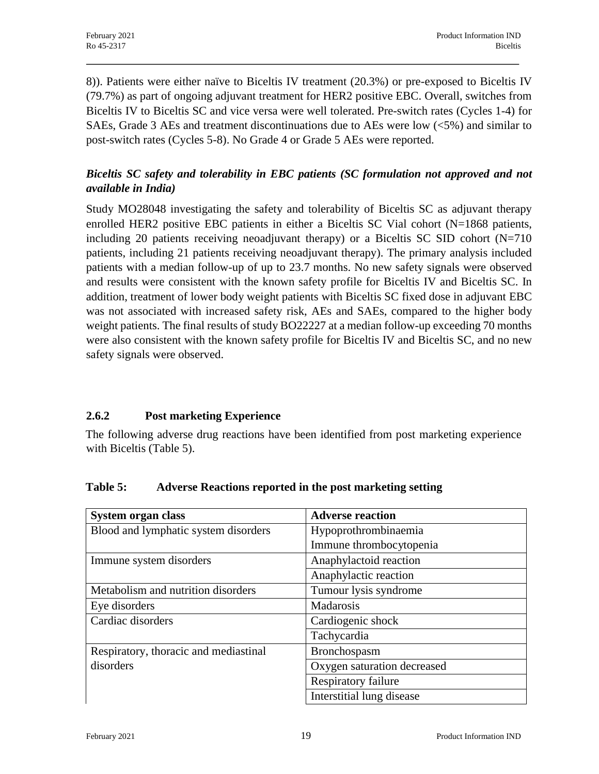8)). Patients were either naïve to Biceltis IV treatment (20.3%) or pre-exposed to Biceltis IV (79.7%) as part of ongoing adjuvant treatment for HER2 positive EBC. Overall, switches from Biceltis IV to Biceltis SC and vice versa were well tolerated. Pre-switch rates (Cycles 1-4) for SAEs, Grade 3 AEs and treatment discontinuations due to AEs were low  $\langle 5\% \rangle$  and similar to post-switch rates (Cycles 5-8). No Grade 4 or Grade 5 AEs were reported.

## *Biceltis SC safety and tolerability in EBC patients (SC formulation not approved and not available in India)*

Study MO28048 investigating the safety and tolerability of Biceltis SC as adjuvant therapy enrolled HER2 positive EBC patients in either a Biceltis SC Vial cohort  $(N=1868)$  patients, including 20 patients receiving neoadjuvant therapy) or a Biceltis SC SID cohort  $(N=710)$ patients, including 21 patients receiving neoadjuvant therapy). The primary analysis included patients with a median follow-up of up to 23.7 months. No new safety signals were observed and results were consistent with the known safety profile for Biceltis IV and Biceltis SC. In addition, treatment of lower body weight patients with Biceltis SC fixed dose in adjuvant EBC was not associated with increased safety risk, AEs and SAEs, compared to the higher body weight patients. The final results of study BO22227 at a median follow-up exceeding 70 months were also consistent with the known safety profile for Biceltis IV and Biceltis SC, and no new safety signals were observed.

## **2.6.2 Post marketing Experience**

The following adverse drug reactions have been identified from post marketing experience with Biceltis (Table 5).

| System organ class                    | <b>Adverse reaction</b>     |
|---------------------------------------|-----------------------------|
| Blood and lymphatic system disorders  | Hypoprothrombinaemia        |
|                                       | Immune thrombocytopenia     |
| Immune system disorders               | Anaphylactoid reaction      |
|                                       | Anaphylactic reaction       |
| Metabolism and nutrition disorders    | Tumour lysis syndrome       |
| Eye disorders                         | Madarosis                   |
| Cardiac disorders                     | Cardiogenic shock           |
|                                       | Tachycardia                 |
| Respiratory, thoracic and mediastinal | Bronchospasm                |
| disorders                             | Oxygen saturation decreased |
|                                       | Respiratory failure         |
|                                       | Interstitial lung disease   |

### **Table 5: Adverse Reactions reported in the post marketing setting**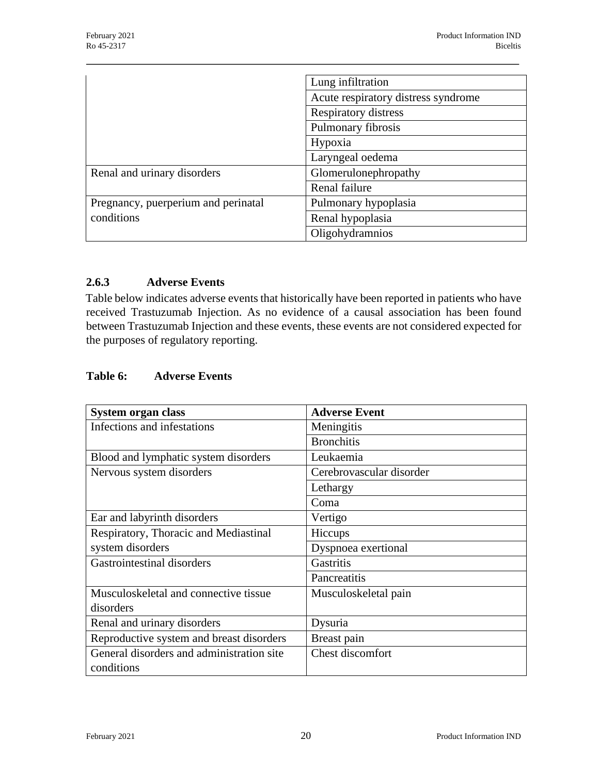|                                     | Lung infiltration                   |
|-------------------------------------|-------------------------------------|
|                                     | Acute respiratory distress syndrome |
|                                     | Respiratory distress                |
|                                     | Pulmonary fibrosis                  |
|                                     | Hypoxia                             |
|                                     | Laryngeal oedema                    |
| Renal and urinary disorders         | Glomerulonephropathy                |
|                                     | Renal failure                       |
| Pregnancy, puerperium and perinatal | Pulmonary hypoplasia                |
| conditions                          | Renal hypoplasia                    |
|                                     | Oligohydramnios                     |

#### **2.6.3 Adverse Events**

Table below indicates adverse events that historically have been reported in patients who have received Trastuzumab Injection. As no evidence of a causal association has been found between Trastuzumab Injection and these events, these events are not considered expected for the purposes of regulatory reporting.

### **Table 6: Adverse Events**

| System organ class                        | <b>Adverse Event</b>     |
|-------------------------------------------|--------------------------|
| Infections and infestations               | Meningitis               |
|                                           | <b>Bronchitis</b>        |
| Blood and lymphatic system disorders      | Leukaemia                |
| Nervous system disorders                  | Cerebrovascular disorder |
|                                           | Lethargy                 |
|                                           | Coma                     |
| Ear and labyrinth disorders               | Vertigo                  |
| Respiratory, Thoracic and Mediastinal     | Hiccups                  |
| system disorders                          | Dyspnoea exertional      |
| Gastrointestinal disorders                | <b>Gastritis</b>         |
|                                           | Pancreatitis             |
| Musculoskeletal and connective tissue     | Musculoskeletal pain     |
| disorders                                 |                          |
| Renal and urinary disorders               | Dysuria                  |
| Reproductive system and breast disorders  | Breast pain              |
| General disorders and administration site | Chest discomfort         |
| conditions                                |                          |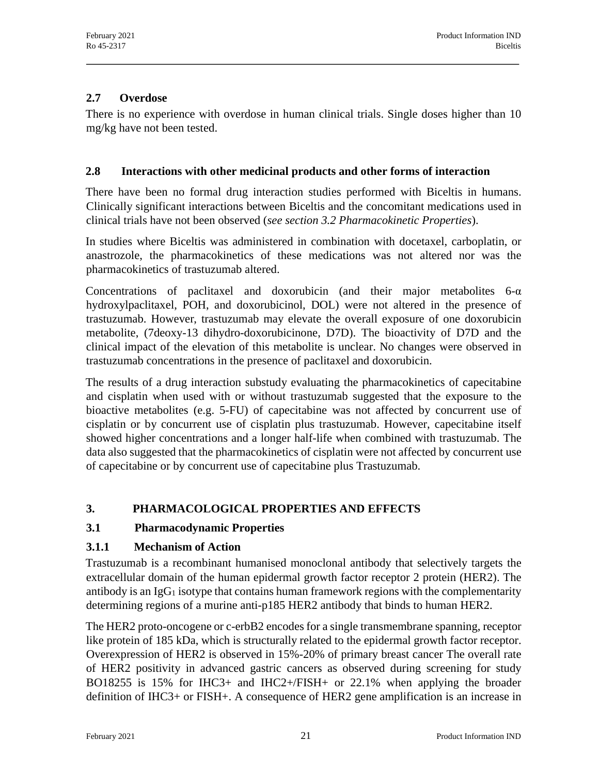### **2.7 Overdose**

There is no experience with overdose in human clinical trials. Single doses higher than 10 mg/kg have not been tested.

### **2.8 Interactions with other medicinal products and other forms of interaction**

There have been no formal drug interaction studies performed with Biceltis in humans. Clinically significant interactions between Biceltis and the concomitant medications used in clinical trials have not been observed (*see section 3.2 Pharmacokinetic Properties*).

In studies where Biceltis was administered in combination with docetaxel, carboplatin, or anastrozole, the pharmacokinetics of these medications was not altered nor was the pharmacokinetics of trastuzumab altered.

Concentrations of paclitaxel and doxorubicin (and their major metabolites  $6-\alpha$ hydroxylpaclitaxel, POH, and doxorubicinol, DOL) were not altered in the presence of trastuzumab. However, trastuzumab may elevate the overall exposure of one doxorubicin metabolite, (7deoxy-13 dihydro-doxorubicinone, D7D). The bioactivity of D7D and the clinical impact of the elevation of this metabolite is unclear. No changes were observed in trastuzumab concentrations in the presence of paclitaxel and doxorubicin.

The results of a drug interaction substudy evaluating the pharmacokinetics of capecitabine and cisplatin when used with or without trastuzumab suggested that the exposure to the bioactive metabolites (e.g. 5-FU) of capecitabine was not affected by concurrent use of cisplatin or by concurrent use of cisplatin plus trastuzumab. However, capecitabine itself showed higher concentrations and a longer half-life when combined with trastuzumab. The data also suggested that the pharmacokinetics of cisplatin were not affected by concurrent use of capecitabine or by concurrent use of capecitabine plus Trastuzumab.

## **3. PHARMACOLOGICAL PROPERTIES AND EFFECTS**

### **3.1 Pharmacodynamic Properties**

### **3.1.1 Mechanism of Action**

Trastuzumab is a recombinant humanised monoclonal antibody that selectively targets the extracellular domain of the human epidermal growth factor receptor 2 protein (HER2). The antibody is an  $IgG_1$  isotype that contains human framework regions with the complementarity determining regions of a murine anti-p185 HER2 antibody that binds to human HER2.

The HER2 proto-oncogene or c-erbB2 encodes for a single transmembrane spanning, receptor like protein of 185 kDa, which is structurally related to the epidermal growth factor receptor. Overexpression of HER2 is observed in 15%-20% of primary breast cancer The overall rate of HER2 positivity in advanced gastric cancers as observed during screening for study BO18255 is 15% for IHC3+ and IHC2+/FISH+ or 22.1% when applying the broader definition of IHC3+ or FISH+. A consequence of HER2 gene amplification is an increase in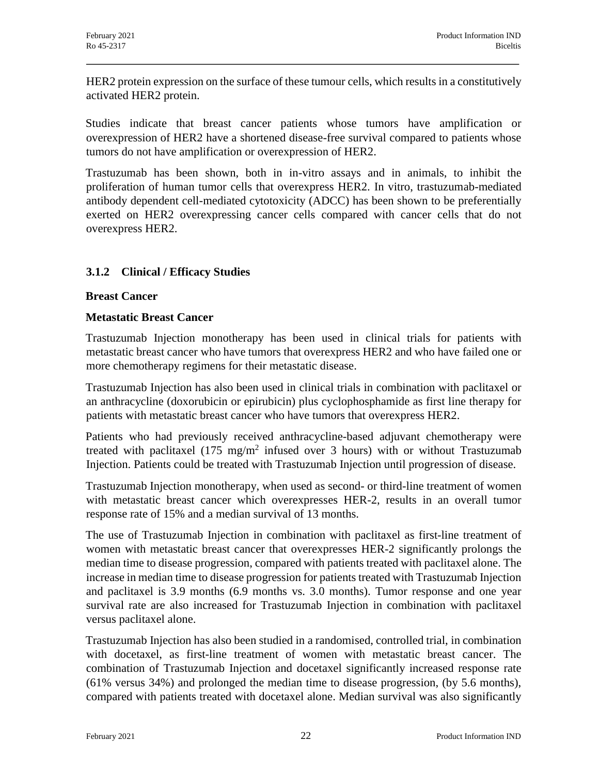HER2 protein expression on the surface of these tumour cells, which results in a constitutively activated HER2 protein.

Studies indicate that breast cancer patients whose tumors have amplification or overexpression of HER2 have a shortened disease-free survival compared to patients whose tumors do not have amplification or overexpression of HER2.

Trastuzumab has been shown, both in in-vitro assays and in animals, to inhibit the proliferation of human tumor cells that overexpress HER2. In vitro, trastuzumab-mediated antibody dependent cell-mediated cytotoxicity (ADCC) has been shown to be preferentially exerted on HER2 overexpressing cancer cells compared with cancer cells that do not overexpress HER2.

### **3.1.2 Clinical / Efficacy Studies**

#### **Breast Cancer**

#### **Metastatic Breast Cancer**

Trastuzumab Injection monotherapy has been used in clinical trials for patients with metastatic breast cancer who have tumors that overexpress HER2 and who have failed one or more chemotherapy regimens for their metastatic disease.

Trastuzumab Injection has also been used in clinical trials in combination with paclitaxel or an anthracycline (doxorubicin or epirubicin) plus cyclophosphamide as first line therapy for patients with metastatic breast cancer who have tumors that overexpress HER2.

Patients who had previously received anthracycline-based adjuvant chemotherapy were treated with paclitaxel  $(175 \text{ mg/m}^2)$  infused over 3 hours) with or without Trastuzumab Injection. Patients could be treated with Trastuzumab Injection until progression of disease.

Trastuzumab Injection monotherapy, when used as second- or third-line treatment of women with metastatic breast cancer which overexpresses HER-2, results in an overall tumor response rate of 15% and a median survival of 13 months.

The use of Trastuzumab Injection in combination with paclitaxel as first-line treatment of women with metastatic breast cancer that overexpresses HER-2 significantly prolongs the median time to disease progression, compared with patients treated with paclitaxel alone. The increase in median time to disease progression for patients treated with Trastuzumab Injection and paclitaxel is 3.9 months (6.9 months vs. 3.0 months). Tumor response and one year survival rate are also increased for Trastuzumab Injection in combination with paclitaxel versus paclitaxel alone.

Trastuzumab Injection has also been studied in a randomised, controlled trial, in combination with docetaxel, as first-line treatment of women with metastatic breast cancer. The combination of Trastuzumab Injection and docetaxel significantly increased response rate (61% versus 34%) and prolonged the median time to disease progression, (by 5.6 months), compared with patients treated with docetaxel alone. Median survival was also significantly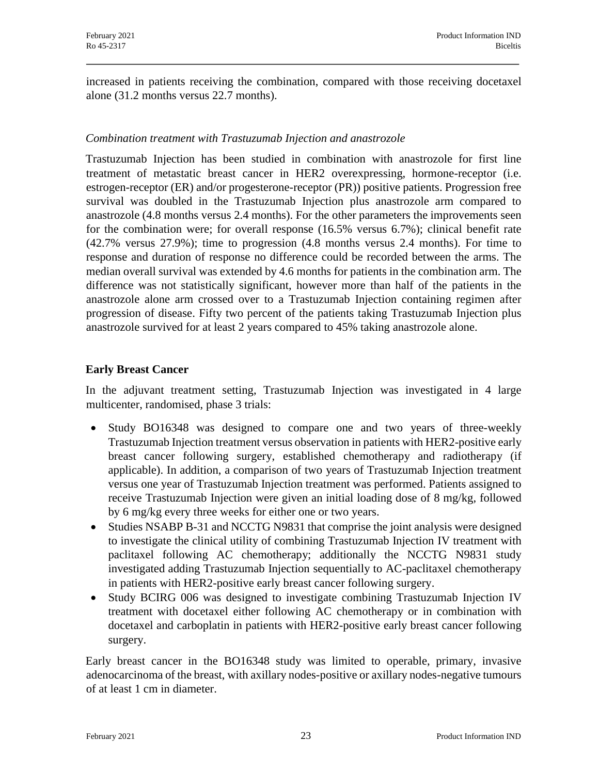increased in patients receiving the combination, compared with those receiving docetaxel alone (31.2 months versus 22.7 months).

#### *Combination treatment with Trastuzumab Injection and anastrozole*

Trastuzumab Injection has been studied in combination with anastrozole for first line treatment of metastatic breast cancer in HER2 overexpressing, hormone-receptor (i.e. estrogen-receptor (ER) and/or progesterone-receptor (PR)) positive patients. Progression free survival was doubled in the Trastuzumab Injection plus anastrozole arm compared to anastrozole (4.8 months versus 2.4 months). For the other parameters the improvements seen for the combination were; for overall response (16.5% versus 6.7%); clinical benefit rate (42.7% versus 27.9%); time to progression (4.8 months versus 2.4 months). For time to response and duration of response no difference could be recorded between the arms. The median overall survival was extended by 4.6 months for patients in the combination arm. The difference was not statistically significant, however more than half of the patients in the anastrozole alone arm crossed over to a Trastuzumab Injection containing regimen after progression of disease. Fifty two percent of the patients taking Trastuzumab Injection plus anastrozole survived for at least 2 years compared to 45% taking anastrozole alone.

#### **Early Breast Cancer**

In the adjuvant treatment setting, Trastuzumab Injection was investigated in 4 large multicenter, randomised, phase 3 trials:

- Study BO16348 was designed to compare one and two years of three-weekly Trastuzumab Injection treatment versus observation in patients with HER2-positive early breast cancer following surgery, established chemotherapy and radiotherapy (if applicable). In addition, a comparison of two years of Trastuzumab Injection treatment versus one year of Trastuzumab Injection treatment was performed. Patients assigned to receive Trastuzumab Injection were given an initial loading dose of 8 mg/kg, followed by 6 mg/kg every three weeks for either one or two years.
- Studies NSABP B-31 and NCCTG N9831 that comprise the joint analysis were designed to investigate the clinical utility of combining Trastuzumab Injection IV treatment with paclitaxel following AC chemotherapy; additionally the NCCTG N9831 study investigated adding Trastuzumab Injection sequentially to AC-paclitaxel chemotherapy in patients with HER2-positive early breast cancer following surgery.
- · Study BCIRG 006 was designed to investigate combining Trastuzumab Injection IV treatment with docetaxel either following AC chemotherapy or in combination with docetaxel and carboplatin in patients with HER2-positive early breast cancer following surgery.

Early breast cancer in the BO16348 study was limited to operable, primary, invasive adenocarcinoma of the breast, with axillary nodes-positive or axillary nodes-negative tumours of at least 1 cm in diameter.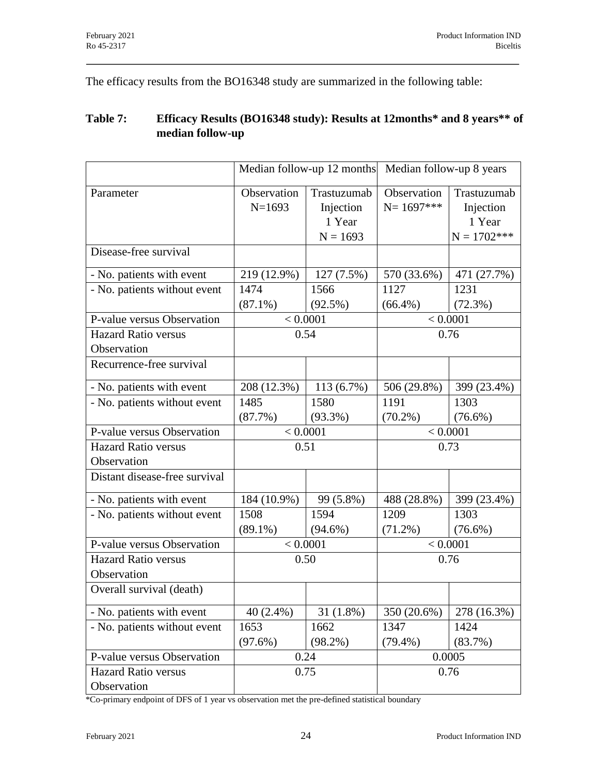The efficacy results from the BO16348 study are summarized in the following table:

### **Table 7: Efficacy Results (BO16348 study): Results at 12months\* and 8 years\*\* of median follow-up**

|                               | Median follow-up 12 months Median follow-up 8 years |             |                |                |
|-------------------------------|-----------------------------------------------------|-------------|----------------|----------------|
| Parameter                     | Observation                                         | Trastuzumab | Observation    | Trastuzumab    |
|                               | $N=1693$                                            | Injection   | $N = 1697$ *** | Injection      |
|                               |                                                     | 1 Year      |                | 1 Year         |
|                               |                                                     | $N = 1693$  |                | $N = 1702$ *** |
| Disease-free survival         |                                                     |             |                |                |
| - No. patients with event     | 219 (12.9%)                                         | 127(7.5%)   | 570 (33.6%)    | 471 (27.7%)    |
| - No. patients without event  | 1474                                                | 1566        | 1127           | 1231           |
|                               | $(87.1\%)$                                          | $(92.5\%)$  | $(66.4\%)$     | (72.3%)        |
| P-value versus Observation    | < 0.0001                                            |             |                | < 0.0001       |
| <b>Hazard Ratio versus</b>    | 0.54                                                |             |                | 0.76           |
| Observation                   |                                                     |             |                |                |
| Recurrence-free survival      |                                                     |             |                |                |
| - No. patients with event     | 208 (12.3%)                                         | 113 (6.7%)  | 506 (29.8%)    | 399 (23.4%)    |
| - No. patients without event  | 1485                                                | 1580        | 1191           | 1303           |
|                               | $(87.7\%)$                                          | $(93.3\%)$  | $(70.2\%)$     | $(76.6\%)$     |
| P-value versus Observation    | < 0.0001                                            |             | < 0.0001       |                |
| <b>Hazard Ratio versus</b>    | 0.51                                                |             | 0.73           |                |
| Observation                   |                                                     |             |                |                |
| Distant disease-free survival |                                                     |             |                |                |
| - No. patients with event     | 184 (10.9%)                                         | 99 (5.8%)   | 488 (28.8%)    | 399 (23.4%)    |
| - No. patients without event  | 1508                                                | 1594        | 1209           | 1303           |
|                               | $(89.1\%)$                                          | $(94.6\%)$  | $(71.2\%)$     | $(76.6\%)$     |
| P-value versus Observation    | < 0.0001                                            |             | < 0.0001       |                |
| <b>Hazard Ratio versus</b>    | 0.50                                                |             |                | 0.76           |
| Observation                   |                                                     |             |                |                |
| Overall survival (death)      |                                                     |             |                |                |
| - No. patients with event     | $40(2.4\%)$                                         | $31(1.8\%)$ | 350 (20.6%)    | 278 (16.3%)    |
| - No. patients without event  | 1653                                                | 1662        | 1347           | 1424           |
|                               | $(97.6\%)$                                          | $(98.2\%)$  | $(79.4\%)$     | (83.7%)        |
| P-value versus Observation    | 0.24                                                |             |                | 0.0005         |
| Hazard Ratio versus           |                                                     | 0.75        |                | 0.76           |
| Observation                   |                                                     |             |                |                |

\*Co-primary endpoint of DFS of 1 year vs observation met the pre-defined statistical boundary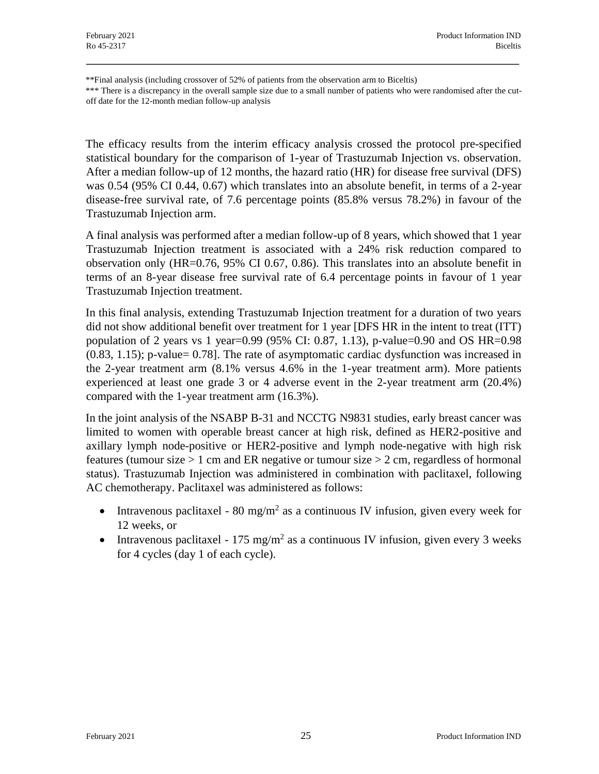\*\*Final analysis (including crossover of 52% of patients from the observation arm to Biceltis) \*\*\* There is a discrepancy in the overall sample size due to a small number of patients who were randomised after the cutoff date for the 12-month median follow-up analysis

The efficacy results from the interim efficacy analysis crossed the protocol pre-specified statistical boundary for the comparison of 1-year of Trastuzumab Injection vs. observation. After a median follow-up of 12 months, the hazard ratio (HR) for disease free survival (DFS) was 0.54 (95% CI 0.44, 0.67) which translates into an absolute benefit, in terms of a 2-year disease-free survival rate, of 7.6 percentage points (85.8% versus 78.2%) in favour of the Trastuzumab Injection arm.

A final analysis was performed after a median follow-up of 8 years, which showed that 1 year Trastuzumab Injection treatment is associated with a 24% risk reduction compared to observation only (HR=0.76, 95% CI 0.67, 0.86). This translates into an absolute benefit in terms of an 8-year disease free survival rate of 6.4 percentage points in favour of 1 year Trastuzumab Injection treatment.

In this final analysis, extending Trastuzumab Injection treatment for a duration of two years did not show additional benefit over treatment for 1 year [DFS HR in the intent to treat (ITT) population of 2 years vs 1 year=0.99 (95% CI: 0.87, 1.13), p-value=0.90 and OS HR=0.98 (0.83, 1.15); p-value= 0.78]. The rate of asymptomatic cardiac dysfunction was increased in the 2-year treatment arm (8.1% versus 4.6% in the 1-year treatment arm). More patients experienced at least one grade 3 or 4 adverse event in the 2-year treatment arm (20.4%) compared with the 1-year treatment arm (16.3%).

In the joint analysis of the NSABP B-31 and NCCTG N9831 studies, early breast cancer was limited to women with operable breast cancer at high risk, defined as HER2-positive and axillary lymph node-positive or HER2-positive and lymph node-negative with high risk features (tumour size  $> 1$  cm and ER negative or tumour size  $> 2$  cm, regardless of hormonal status). Trastuzumab Injection was administered in combination with paclitaxel, following AC chemotherapy. Paclitaxel was administered as follows:

- Intravenous paclitaxel 80 mg/m<sup>2</sup> as a continuous IV infusion, given every week for 12 weeks, or
- Intravenous paclitaxel 175 mg/m<sup>2</sup> as a continuous IV infusion, given every 3 weeks for 4 cycles (day 1 of each cycle).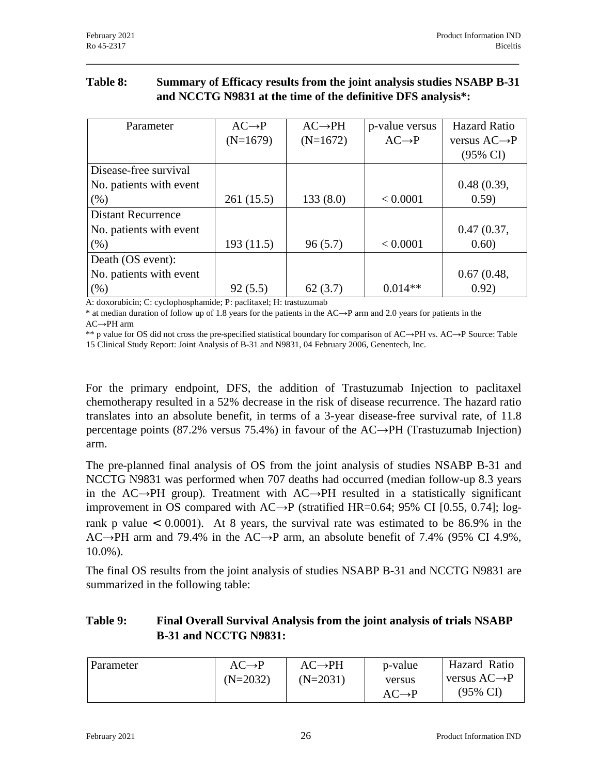## **Table 8: Summary of Efficacy results from the joint analysis studies NSABP B-31 and NCCTG N9831 at the time of the definitive DFS analysis\*:**

| Parameter                 | $AC \rightarrow P$ | $AC \rightarrow PH$ | p-value versus     | <b>Hazard Ratio</b>       |
|---------------------------|--------------------|---------------------|--------------------|---------------------------|
|                           | $(N=1679)$         | $(N=1672)$          | $AC \rightarrow P$ | versus $AC \rightarrow P$ |
|                           |                    |                     |                    | $(95\% \text{ CI})$       |
| Disease-free survival     |                    |                     |                    |                           |
| No. patients with event   |                    |                     |                    | 0.48(0.39,                |
| $(\%)$                    | 261 (15.5)         | 133(8.0)            | < 0.0001           | 0.59)                     |
| <b>Distant Recurrence</b> |                    |                     |                    |                           |
| No. patients with event   |                    |                     |                    | 0.47(0.37,                |
| $(\%)$                    | 193(11.5)          | 96(5.7)             | < 0.0001           | 0.60)                     |
| Death (OS event):         |                    |                     |                    |                           |
| No. patients with event   |                    |                     |                    | 0.67(0.48,                |
| $(\%)$                    | 92(5.5)            | 62(3.7)             | $0.014**$          | 0.92)                     |

A: doxorubicin; C: cyclophosphamide; P: paclitaxel; H: trastuzumab

\* at median duration of follow up of 1.8 years for the patients in the AC→P arm and 2.0 years for patients in the AC→PH arm

\*\* p value for OS did not cross the pre-specified statistical boundary for comparison of AC→PH vs. AC→P Source: Table 15 Clinical Study Report: Joint Analysis of B-31 and N9831, 04 February 2006, Genentech, Inc.

For the primary endpoint, DFS, the addition of Trastuzumab Injection to paclitaxel chemotherapy resulted in a 52% decrease in the risk of disease recurrence. The hazard ratio translates into an absolute benefit, in terms of a 3-year disease-free survival rate, of 11.8 percentage points (87.2% versus 75.4%) in favour of the AC→PH (Trastuzumab Injection) arm.

The pre-planned final analysis of OS from the joint analysis of studies NSABP B-31 and NCCTG N9831 was performed when 707 deaths had occurred (median follow-up 8.3 years in the AC→PH group). Treatment with AC→PH resulted in a statistically significant improvement in OS compared with  $AC\rightarrow P$  (stratified HR=0.64; 95% CI [0.55, 0.74]; logrank p value  $\lt$  0.0001). At 8 years, the survival rate was estimated to be 86.9% in the AC→PH arm and 79.4% in the AC→P arm, an absolute benefit of 7.4% (95% CI 4.9%, 10.0%).

The final OS results from the joint analysis of studies NSABP B-31 and NCCTG N9831 are summarized in the following table:

### **Table 9: Final Overall Survival Analysis from the joint analysis of trials NSABP B-31 and NCCTG N9831:**

| $AC \rightarrow P$<br><b>Parameter</b><br>$(N=2032)$ | $AC\rightarrow PH$<br>$(N=2031)$ | Hazard Ratio<br>p-value<br>versus $AC \rightarrow P$<br>versus<br>$(95\% \text{ CI})$<br>$AC \rightarrow P$ |  |
|------------------------------------------------------|----------------------------------|-------------------------------------------------------------------------------------------------------------|--|
|------------------------------------------------------|----------------------------------|-------------------------------------------------------------------------------------------------------------|--|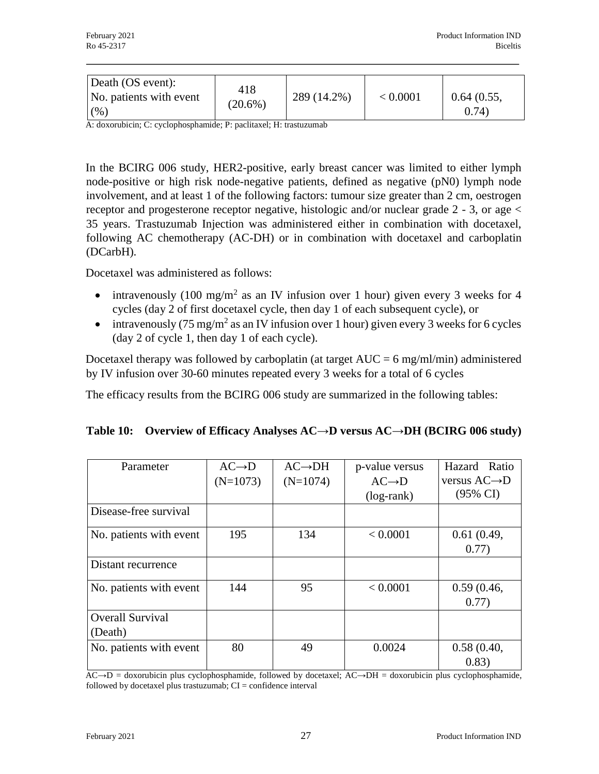| Death (OS event):<br>No. patients with event<br>(% ) | 418<br>$(20.6\%)$ | 289 (14.2%) | < 0.0001 | 0.64(0.55,<br>(0.74) |
|------------------------------------------------------|-------------------|-------------|----------|----------------------|
|                                                      |                   |             |          |                      |

A: doxorubicin; C: cyclophosphamide; P: paclitaxel; H: trastuzumab

In the BCIRG 006 study, HER2-positive, early breast cancer was limited to either lymph node-positive or high risk node-negative patients, defined as negative (pN0) lymph node involvement, and at least 1 of the following factors: tumour size greater than 2 cm, oestrogen receptor and progesterone receptor negative, histologic and/or nuclear grade 2 - 3, or age < 35 years. Trastuzumab Injection was administered either in combination with docetaxel, following AC chemotherapy (AC-DH) or in combination with docetaxel and carboplatin (DCarbH).

Docetaxel was administered as follows:

- intravenously (100 mg/m<sup>2</sup> as an IV infusion over 1 hour) given every 3 weeks for 4 cycles (day 2 of first docetaxel cycle, then day 1 of each subsequent cycle), or
- intravenously  $(75 \text{ mg/m}^2 \text{ as an IV}$  infusion over 1 hour) given every 3 weeks for 6 cycles (day 2 of cycle 1, then day 1 of each cycle).

Docetaxel therapy was followed by carboplatin (at target  $AUC = 6$  mg/ml/min) administered by IV infusion over 30-60 minutes repeated every 3 weeks for a total of 6 cycles

The efficacy results from the BCIRG 006 study are summarized in the following tables:

| Parameter               | $AC \rightarrow D$ | $AC \rightarrow DH$ | p-value versus     | Hazard Ratio              |
|-------------------------|--------------------|---------------------|--------------------|---------------------------|
|                         | $(N=1073)$         | $(N=1074)$          | $AC \rightarrow D$ | versus $AC \rightarrow D$ |
|                         |                    |                     | $(log-rank)$       | $(95\% \text{ CI})$       |
| Disease-free survival   |                    |                     |                    |                           |
| No. patients with event | 195                | 134                 | < 0.0001           | 0.61(0.49,                |
|                         |                    |                     |                    | 0.77)                     |
| Distant recurrence      |                    |                     |                    |                           |
| No. patients with event | 144                | 95                  | < 0.0001           | 0.59(0.46,                |
|                         |                    |                     |                    | 0.77)                     |
| <b>Overall Survival</b> |                    |                     |                    |                           |
| (Death)                 |                    |                     |                    |                           |
| No. patients with event | 80                 | 49                  | 0.0024             | 0.58(0.40,                |
|                         |                    |                     |                    | 0.83)                     |

|  | Table 10: Overview of Efficacy Analyses $AC \rightarrow D$ versus $AC \rightarrow DH$ (BCIRG 006 study) |
|--|---------------------------------------------------------------------------------------------------------|
|  |                                                                                                         |

 $AC \rightarrow D =$  doxorubicin plus cyclophosphamide, followed by docetaxel;  $AC \rightarrow DH =$  doxorubicin plus cyclophosphamide, followed by docetaxel plus trastuzumab; CI = confidence interval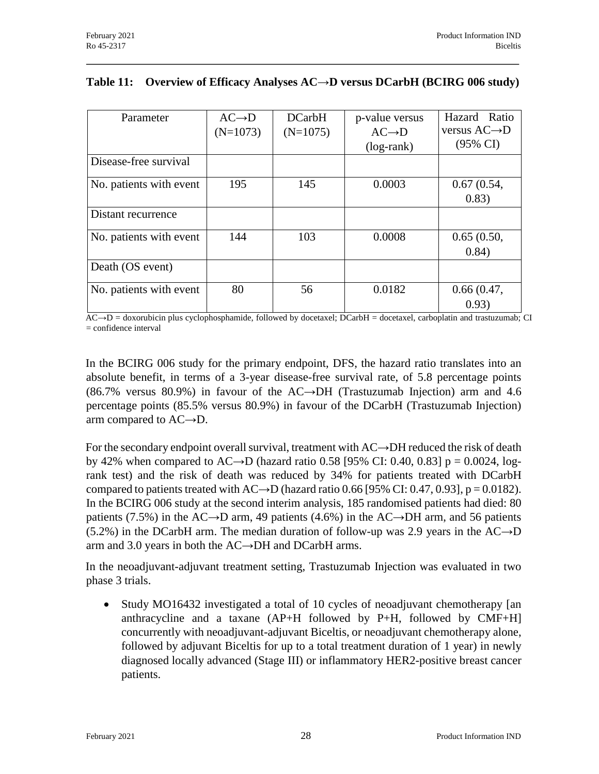| Parameter               | $AC \rightarrow D$ | <b>DCarbH</b> | p-value versus     | Hazard Ratio              |
|-------------------------|--------------------|---------------|--------------------|---------------------------|
|                         | $(N=1073)$         | $(N=1075)$    | $AC \rightarrow D$ | versus $AC \rightarrow D$ |
|                         |                    |               | $(log-rank)$       | $(95\% \text{ CI})$       |
| Disease-free survival   |                    |               |                    |                           |
| No. patients with event | 195                | 145           | 0.0003             | 0.67(0.54,                |
|                         |                    |               |                    | 0.83)                     |
| Distant recurrence      |                    |               |                    |                           |
| No. patients with event | 144                | 103           | 0.0008             | 0.65(0.50,                |
|                         |                    |               |                    | 0.84)                     |
| Death (OS event)        |                    |               |                    |                           |
| No. patients with event | 80                 | 56            | 0.0182             | 0.66(0.47,                |
|                         |                    |               |                    | 0.93)                     |

#### **Table 11: Overview of Efficacy Analyses AC→D versus DCarbH (BCIRG 006 study)**

 $AC \rightarrow D =$  doxorubicin plus cyclophosphamide, followed by docetaxel; DCarbH = docetaxel, carboplatin and trastuzumab; CI = confidence interval

In the BCIRG 006 study for the primary endpoint, DFS, the hazard ratio translates into an absolute benefit, in terms of a 3-year disease-free survival rate, of 5.8 percentage points (86.7% versus 80.9%) in favour of the AC→DH (Trastuzumab Injection) arm and 4.6 percentage points (85.5% versus 80.9%) in favour of the DCarbH (Trastuzumab Injection) arm compared to AC→D.

For the secondary endpoint overall survival, treatment with AC→DH reduced the risk of death by 42% when compared to AC→D (hazard ratio 0.58 [95% CI: 0.40, 0.83] p = 0.0024, logrank test) and the risk of death was reduced by 34% for patients treated with DCarbH compared to patients treated with  $AC\rightarrow D$  (hazard ratio 0.66 [95% CI: 0.47, 0.93], p = 0.0182). In the BCIRG 006 study at the second interim analysis, 185 randomised patients had died: 80 patients (7.5%) in the AC→D arm, 49 patients (4.6%) in the AC→DH arm, and 56 patients (5.2%) in the DCarbH arm. The median duration of follow-up was 2.9 years in the  $AC\rightarrow D$ arm and 3.0 years in both the AC→DH and DCarbH arms.

In the neoadjuvant-adjuvant treatment setting, Trastuzumab Injection was evaluated in two phase 3 trials.

• Study MO16432 investigated a total of 10 cycles of neoadjuvant chemotherapy [an anthracycline and a taxane (AP+H followed by P+H, followed by CMF+H] concurrently with neoadjuvant-adjuvant Biceltis, or neoadjuvant chemotherapy alone, followed by adjuvant Biceltis for up to a total treatment duration of 1 year) in newly diagnosed locally advanced (Stage III) or inflammatory HER2-positive breast cancer patients.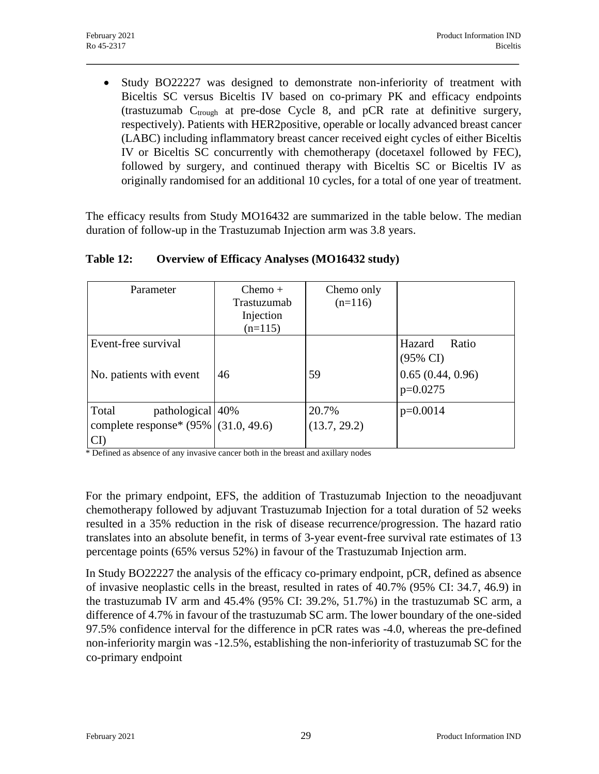• Study BO22227 was designed to demonstrate non-inferiority of treatment with Biceltis SC versus Biceltis IV based on co-primary PK and efficacy endpoints (trastuzumab  $C_{trough}$  at pre-dose Cycle 8, and pCR rate at definitive surgery, respectively). Patients with HER2positive, operable or locally advanced breast cancer (LABC) including inflammatory breast cancer received eight cycles of either Biceltis IV or Biceltis SC concurrently with chemotherapy (docetaxel followed by FEC), followed by surgery, and continued therapy with Biceltis SC or Biceltis IV as originally randomised for an additional 10 cycles, for a total of one year of treatment.

The efficacy results from Study MO16432 are summarized in the table below. The median duration of follow-up in the Trastuzumab Injection arm was 3.8 years.

| Parameter                                                                     | $Chemo +$<br>Trastuzumab<br>Injection<br>$(n=115)$ | Chemo only<br>$(n=116)$ |                                                                          |
|-------------------------------------------------------------------------------|----------------------------------------------------|-------------------------|--------------------------------------------------------------------------|
| Event-free survival<br>No. patients with event                                | 46                                                 | 59                      | Ratio<br>Hazard<br>$(95\% \text{ CI})$<br>0.65(0.44, 0.96)<br>$p=0.0275$ |
| Total<br>pathological 40%<br>complete response* $(95\%   (31.0, 49.6)$<br>CF) |                                                    | 20.7%<br>(13.7, 29.2)   | $p=0.0014$                                                               |

#### **Table 12: Overview of Efficacy Analyses (MO16432 study)**

\* Defined as absence of any invasive cancer both in the breast and axillary nodes

For the primary endpoint, EFS, the addition of Trastuzumab Injection to the neoadjuvant chemotherapy followed by adjuvant Trastuzumab Injection for a total duration of 52 weeks resulted in a 35% reduction in the risk of disease recurrence/progression. The hazard ratio translates into an absolute benefit, in terms of 3-year event-free survival rate estimates of 13 percentage points (65% versus 52%) in favour of the Trastuzumab Injection arm.

In Study BO22227 the analysis of the efficacy co-primary endpoint, pCR, defined as absence of invasive neoplastic cells in the breast, resulted in rates of 40.7% (95% CI: 34.7, 46.9) in the trastuzumab IV arm and 45.4% (95% CI: 39.2%, 51.7%) in the trastuzumab SC arm, a difference of 4.7% in favour of the trastuzumab SC arm. The lower boundary of the one-sided 97.5% confidence interval for the difference in pCR rates was -4.0, whereas the pre-defined non-inferiority margin was -12.5%, establishing the non-inferiority of trastuzumab SC for the co-primary endpoint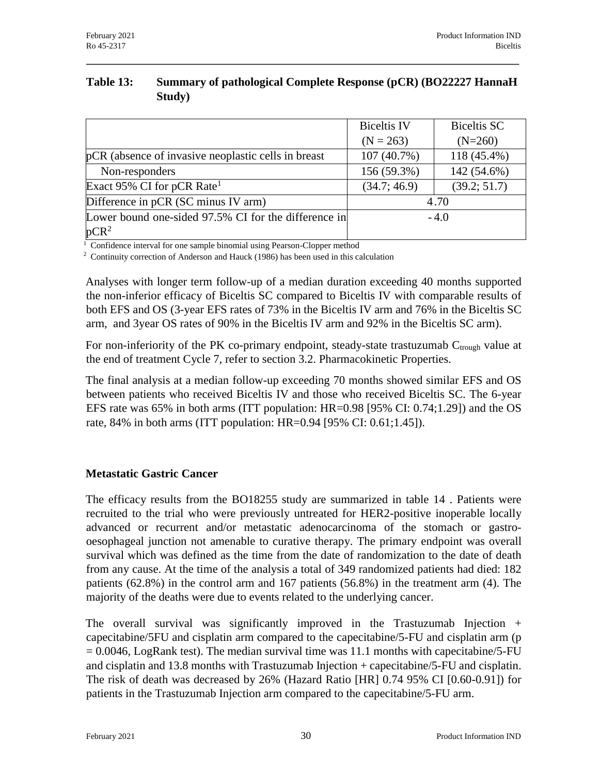| Table 13: | <b>Summary of pathological Complete Response (pCR) (BO22227 HannaH</b> |
|-----------|------------------------------------------------------------------------|
|           | Study)                                                                 |

|                                                      | <b>Biceltis IV</b> | Biceltis SC  |
|------------------------------------------------------|--------------------|--------------|
|                                                      | $(N = 263)$        | $(N=260)$    |
| pCR (absence of invasive neoplastic cells in breast) | 107(40.7%)         | 118 (45.4%)  |
| Non-responders                                       | 156 (59.3%)        | 142 (54.6%)  |
| Exact 95% CI for pCR Rate <sup>1</sup>               | (34.7; 46.9)       | (39.2; 51.7) |
| Difference in pCR (SC minus IV arm)                  |                    | 4.70         |
| Lower bound one-sided 97.5% CI for the difference in |                    | $-4.0$       |
| $pCR^2$                                              |                    |              |

 $\frac{1}{1}$  Confidence interval for one sample binomial using Pearson-Clopper method

 $2$  Continuity correction of Anderson and Hauck (1986) has been used in this calculation

Analyses with longer term follow-up of a median duration exceeding 40 months supported the non-inferior efficacy of Biceltis SC compared to Biceltis IV with comparable results of both EFS and OS (3-year EFS rates of 73% in the Biceltis IV arm and 76% in the Biceltis SC arm, and 3year OS rates of 90% in the Biceltis IV arm and 92% in the Biceltis SC arm).

For non-inferiority of the PK co-primary endpoint, steady-state trastuzumab  $C_{trough}$  value at the end of treatment Cycle 7, refer to section 3.2. Pharmacokinetic Properties.

The final analysis at a median follow-up exceeding 70 months showed similar EFS and OS between patients who received Biceltis IV and those who received Biceltis SC. The 6-year EFS rate was 65% in both arms (ITT population: HR=0.98 [95% CI: 0.74;1.29]) and the OS rate, 84% in both arms (ITT population: HR=0.94 [95% CI: 0.61;1.45]).

#### **Metastatic Gastric Cancer**

The efficacy results from the BO18255 study are summarized in table 14 . Patients were recruited to the trial who were previously untreated for HER2-positive inoperable locally advanced or recurrent and/or metastatic adenocarcinoma of the stomach or gastrooesophageal junction not amenable to curative therapy. The primary endpoint was overall survival which was defined as the time from the date of randomization to the date of death from any cause. At the time of the analysis a total of 349 randomized patients had died: 182 patients (62.8%) in the control arm and 167 patients (56.8%) in the treatment arm (4). The majority of the deaths were due to events related to the underlying cancer.

The overall survival was significantly improved in the Trastuzumab Injection  $+$ capecitabine/5FU and cisplatin arm compared to the capecitabine/5-FU and cisplatin arm (p  $= 0.0046$ , LogRank test). The median survival time was 11.1 months with capecitabine/5-FU and cisplatin and 13.8 months with Trastuzumab Injection + capecitabine/5-FU and cisplatin. The risk of death was decreased by 26% (Hazard Ratio [HR] 0.74 95% CI [0.60-0.91]) for patients in the Trastuzumab Injection arm compared to the capecitabine/5-FU arm.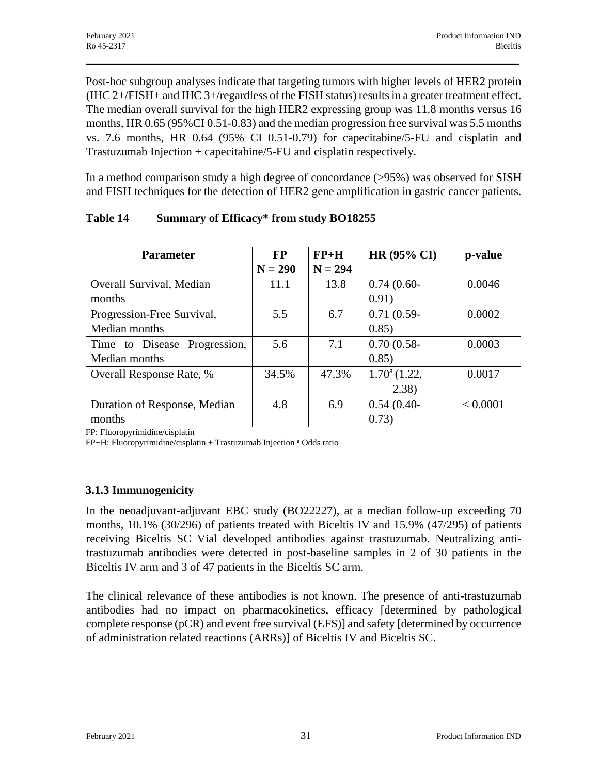Post-hoc subgroup analyses indicate that targeting tumors with higher levels of HER2 protein (IHC 2+/FISH+ and IHC 3+/regardless of the FISH status) results in a greater treatment effect. The median overall survival for the high HER2 expressing group was 11.8 months versus 16 months, HR 0.65 (95%CI 0.51-0.83) and the median progression free survival was 5.5 months vs. 7.6 months, HR 0.64 (95% CI 0.51-0.79) for capecitabine/5-FU and cisplatin and Trastuzumab Injection + capecitabine/5-FU and cisplatin respectively.

In a method comparison study a high degree of concordance (>95%) was observed for SISH and FISH techniques for the detection of HER2 gene amplification in gastric cancer patients.

| <b>Parameter</b>             | <b>FP</b> | $FP+H$    | <b>HR (95% CI)</b>    | p-value  |
|------------------------------|-----------|-----------|-----------------------|----------|
|                              | $N = 290$ | $N = 294$ |                       |          |
| Overall Survival, Median     | 11.1      | 13.8      | $0.74(0.60-$          | 0.0046   |
| months                       |           |           | 0.91)                 |          |
| Progression-Free Survival,   | 5.5       | 6.7       | $0.71(0.59-$          | 0.0002   |
| Median months                |           |           | 0.85)                 |          |
| Time to Disease Progression, | 5.6       | 7.1       | $0.70(0.58 -$         | 0.0003   |
| Median months                |           |           | 0.85)                 |          |
| Overall Response Rate, %     | 34.5%     | 47.3%     | $1.70^{\circ}$ (1.22, | 0.0017   |
|                              |           |           | (2.38)                |          |
| Duration of Response, Median | 4.8       | 6.9       | $0.54(0.40-$          | < 0.0001 |
| months                       |           |           | 0.73)                 |          |

### **Table 14 Summary of Efficacy\* from study BO18255**

FP: Fluoropyrimidine/cisplatin

FP+H: Fluoropyrimidine/cisplatin + Trastuzumab Injection <sup>a</sup> Odds ratio

## **3.1.3 Immunogenicity**

In the neoadjuvant-adjuvant EBC study (BO22227), at a median follow-up exceeding 70 months, 10.1% (30/296) of patients treated with Biceltis IV and 15.9% (47/295) of patients receiving Biceltis SC Vial developed antibodies against trastuzumab. Neutralizing antitrastuzumab antibodies were detected in post-baseline samples in 2 of 30 patients in the Biceltis IV arm and 3 of 47 patients in the Biceltis SC arm.

The clinical relevance of these antibodies is not known. The presence of anti-trastuzumab antibodies had no impact on pharmacokinetics, efficacy [determined by pathological complete response (pCR) and event free survival (EFS)] and safety [determined by occurrence of administration related reactions (ARRs)] of Biceltis IV and Biceltis SC.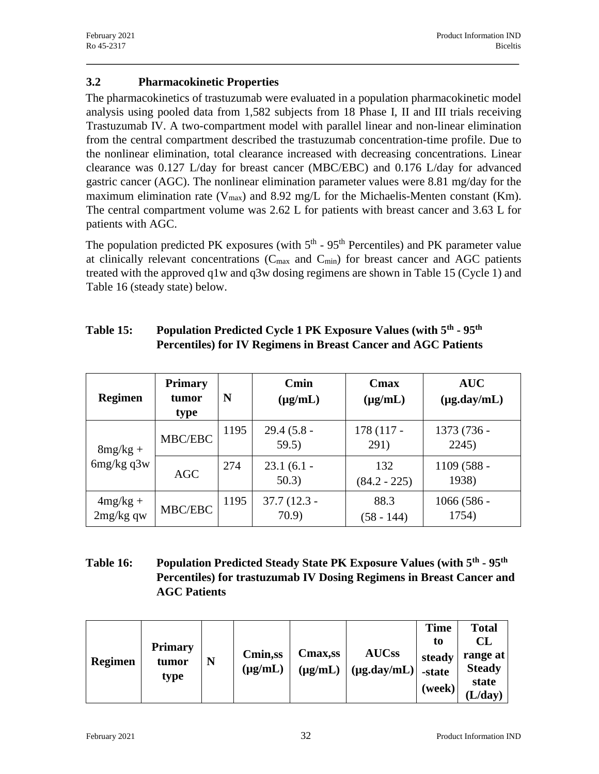### **3.2 Pharmacokinetic Properties**

The pharmacokinetics of trastuzumab were evaluated in a population pharmacokinetic model analysis using pooled data from 1,582 subjects from 18 Phase I, II and III trials receiving Trastuzumab IV. A two-compartment model with parallel linear and non-linear elimination from the central compartment described the trastuzumab concentration-time profile. Due to the nonlinear elimination, total clearance increased with decreasing concentrations. Linear clearance was 0.127 L/day for breast cancer (MBC/EBC) and 0.176 L/day for advanced gastric cancer (AGC). The nonlinear elimination parameter values were 8.81 mg/day for the maximum elimination rate ( $V_{max}$ ) and 8.92 mg/L for the Michaelis-Menten constant (Km). The central compartment volume was 2.62 L for patients with breast cancer and 3.63 L for patients with AGC.

The population predicted PK exposures (with  $5<sup>th</sup>$  -  $95<sup>th</sup>$  Percentiles) and PK parameter value at clinically relevant concentrations  $(C_{\text{max}}$  and  $C_{\text{min}})$  for breast cancer and AGC patients treated with the approved q1w and q3w dosing regimens are shown in Table 15 (Cycle 1) and Table 16 (steady state) below.

| <b>Regimen</b>          | <b>Primary</b><br>tumor<br>type | N    | Cmin<br>$(\mu g/mL)$   | Cmax<br>$(\mu g/mL)$  | <b>AUC</b><br>$(\mu g.day/mL)$ |
|-------------------------|---------------------------------|------|------------------------|-----------------------|--------------------------------|
| $8mg/kg +$              | MBC/EBC                         | 1195 | $29.4(5.8 -$<br>59.5)  | 178 (117 -<br>291)    | 1373 (736 -<br>2245)           |
| $6mg/kg$ q3w            | <b>AGC</b>                      | 274  | $23.1(6.1 -$<br>50.3)  | 132<br>$(84.2 - 225)$ | 1109 (588 -<br>1938)           |
| $4mg/kg +$<br>2mg/kg qw | MBC/EBC                         | 1195 | $37.7(12.3 -$<br>70.9) | 88.3<br>(58 - 144)    | $1066(586 -$<br>1754)          |

#### **Table 15: Population Predicted Cycle 1 PK Exposure Values (with 5th - 95th Percentiles) for IV Regimens in Breast Cancer and AGC Patients**

## **Table 16: Population Predicted Steady State PK Exposure Values (with 5th - 95th Percentiles) for trastuzumab IV Dosing Regimens in Breast Cancer and AGC Patients**

| <b>Regimen</b> | <b>Primary</b><br>tumor<br>type | N | Cmin,ss<br>$(\mu g/mL)$ | <b>Cmax,ss</b><br>$(\mu g/mL)$ | <b>AUCss</b><br>$(\mu g.day/mL)$ | <b>Time</b><br>to<br>steady<br>-state<br>(week) | <b>Total</b><br><b>CL</b><br>range at<br><b>Steady</b><br>state<br>L/day) |
|----------------|---------------------------------|---|-------------------------|--------------------------------|----------------------------------|-------------------------------------------------|---------------------------------------------------------------------------|
|----------------|---------------------------------|---|-------------------------|--------------------------------|----------------------------------|-------------------------------------------------|---------------------------------------------------------------------------|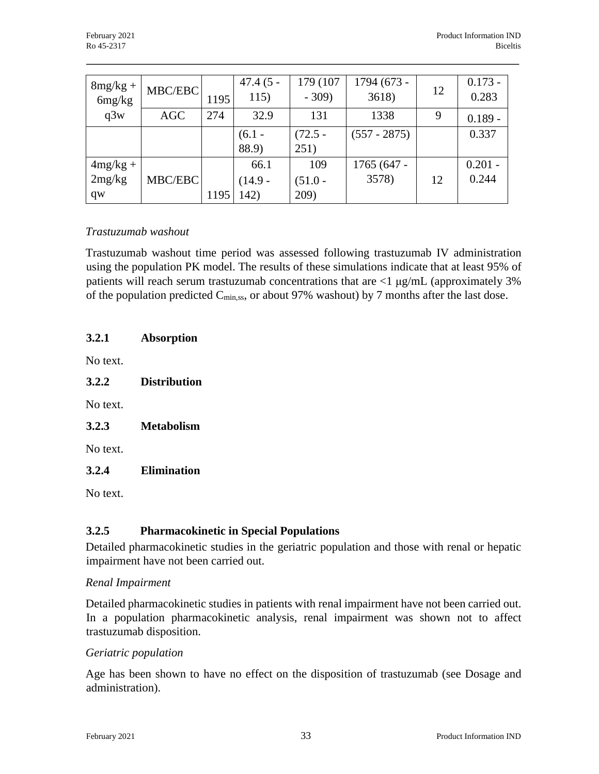| $8mg/kg +$<br>6mg/kg       | MBC/EBC    | 1195 | $47.4(5 -$<br>115)        | 179 (107<br>$-309$       | 1794 (673 -<br>3618) | 12 | $0.173 -$<br>0.283 |
|----------------------------|------------|------|---------------------------|--------------------------|----------------------|----|--------------------|
| q3w                        | <b>AGC</b> | 274  | 32.9                      | 131                      | 1338                 | 9  | $0.189 -$          |
|                            |            |      | $(6.1 -$<br>88.9)         | $(72.5 -$<br>251)        | $(557 - 2875)$       |    | 0.337              |
| $4mg/kg +$<br>2mg/kg<br>qw | MBC/EBC    | 1195 | 66.1<br>$(14.9 -$<br>142) | 109<br>$(51.0 -$<br>209) | 1765 (647 -<br>3578) | 12 | $0.201 -$<br>0.244 |

### *Trastuzumab washout*

Trastuzumab washout time period was assessed following trastuzumab IV administration using the population PK model. The results of these simulations indicate that at least 95% of patients will reach serum trastuzumab concentrations that are  $\langle 1 \mu g/mL$  (approximately 3%) of the population predicted  $C_{\text{min,ss}}$ , or about 97% washout) by 7 months after the last dose.

#### **3.2.1 Absorption**

No text.

**3.2.2 Distribution**

No text.

**3.2.3 Metabolism**

No text.

#### **3.2.4 Elimination**

No text.

#### **3.2.5 Pharmacokinetic in Special Populations**

Detailed pharmacokinetic studies in the geriatric population and those with renal or hepatic impairment have not been carried out.

#### *Renal Impairment*

Detailed pharmacokinetic studies in patients with renal impairment have not been carried out. In a population pharmacokinetic analysis, renal impairment was shown not to affect trastuzumab disposition.

#### *Geriatric population*

Age has been shown to have no effect on the disposition of trastuzumab (see Dosage and administration).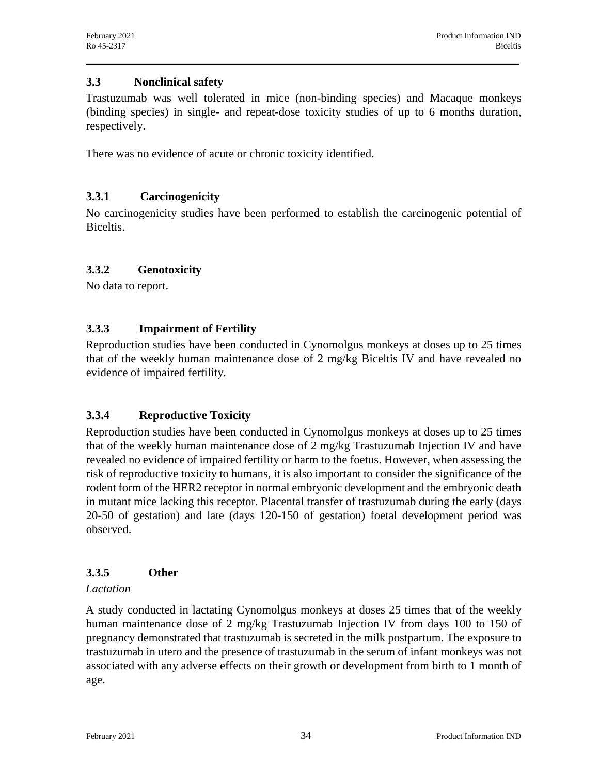### **3.3 Nonclinical safety**

Trastuzumab was well tolerated in mice (non-binding species) and Macaque monkeys (binding species) in single- and repeat-dose toxicity studies of up to 6 months duration, respectively.

There was no evidence of acute or chronic toxicity identified.

## **3.3.1 Carcinogenicity**

No carcinogenicity studies have been performed to establish the carcinogenic potential of Biceltis.

### **3.3.2 Genotoxicity**

No data to report.

## **3.3.3 Impairment of Fertility**

Reproduction studies have been conducted in Cynomolgus monkeys at doses up to 25 times that of the weekly human maintenance dose of 2 mg/kg Biceltis IV and have revealed no evidence of impaired fertility.

## **3.3.4 Reproductive Toxicity**

Reproduction studies have been conducted in Cynomolgus monkeys at doses up to 25 times that of the weekly human maintenance dose of 2 mg/kg Trastuzumab Injection IV and have revealed no evidence of impaired fertility or harm to the foetus. However, when assessing the risk of reproductive toxicity to humans, it is also important to consider the significance of the rodent form of the HER2 receptor in normal embryonic development and the embryonic death in mutant mice lacking this receptor. Placental transfer of trastuzumab during the early (days 20-50 of gestation) and late (days 120-150 of gestation) foetal development period was observed.

### **3.3.5 Other**

### *Lactation*

A study conducted in lactating Cynomolgus monkeys at doses 25 times that of the weekly human maintenance dose of 2 mg/kg Trastuzumab Injection IV from days 100 to 150 of pregnancy demonstrated that trastuzumab is secreted in the milk postpartum. The exposure to trastuzumab in utero and the presence of trastuzumab in the serum of infant monkeys was not associated with any adverse effects on their growth or development from birth to 1 month of age.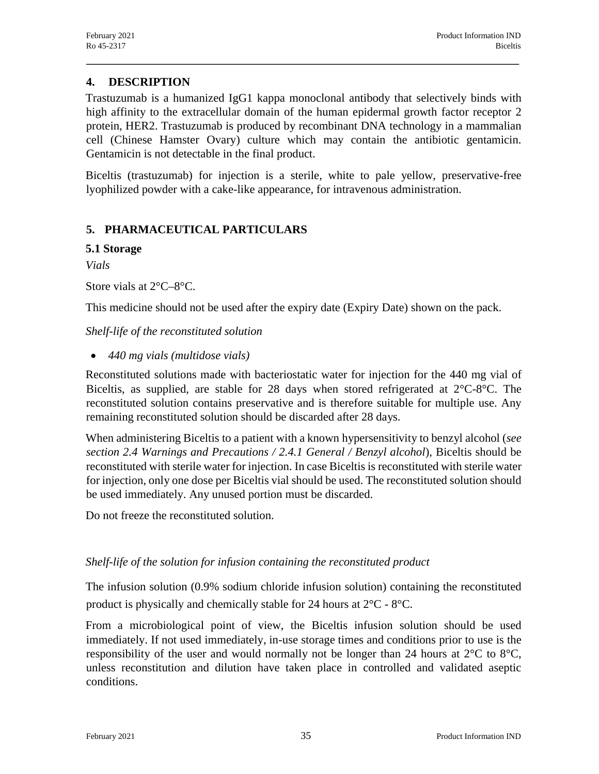### **4. DESCRIPTION**

Trastuzumab is a humanized IgG1 kappa monoclonal antibody that selectively binds with high affinity to the extracellular domain of the human epidermal growth factor receptor 2 protein, HER2. Trastuzumab is produced by recombinant DNA technology in a mammalian cell (Chinese Hamster Ovary) culture which may contain the antibiotic gentamicin. Gentamicin is not detectable in the final product.

Biceltis (trastuzumab) for injection is a sterile, white to pale yellow, preservative-free lyophilized powder with a cake-like appearance, for intravenous administration.

### **5. PHARMACEUTICAL PARTICULARS**

#### **5.1 Storage**

*Vials*

Store vials at 2°C–8°C.

This medicine should not be used after the expiry date (Expiry Date) shown on the pack.

### *Shelf-life of the reconstituted solution*

· *440 mg vials (multidose vials)*

Reconstituted solutions made with bacteriostatic water for injection for the 440 mg vial of Biceltis, as supplied, are stable for 28 days when stored refrigerated at  $2^{\circ}C-8^{\circ}C$ . The reconstituted solution contains preservative and is therefore suitable for multiple use. Any remaining reconstituted solution should be discarded after 28 days.

When administering Biceltis to a patient with a known hypersensitivity to benzyl alcohol (*see section 2.4 Warnings and Precautions / 2.4.1 General / Benzyl alcohol*), Biceltis should be reconstituted with sterile water for injection. In case Biceltis is reconstituted with sterile water for injection, only one dose per Biceltis vial should be used. The reconstituted solution should be used immediately. Any unused portion must be discarded.

Do not freeze the reconstituted solution.

### *Shelf-life of the solution for infusion containing the reconstituted product*

The infusion solution (0.9% sodium chloride infusion solution) containing the reconstituted product is physically and chemically stable for 24 hours at 2°C - 8°C.

From a microbiological point of view, the Biceltis infusion solution should be used immediately. If not used immediately, in-use storage times and conditions prior to use is the responsibility of the user and would normally not be longer than 24 hours at  $2^{\circ}$ C to  $8^{\circ}$ C, unless reconstitution and dilution have taken place in controlled and validated aseptic conditions.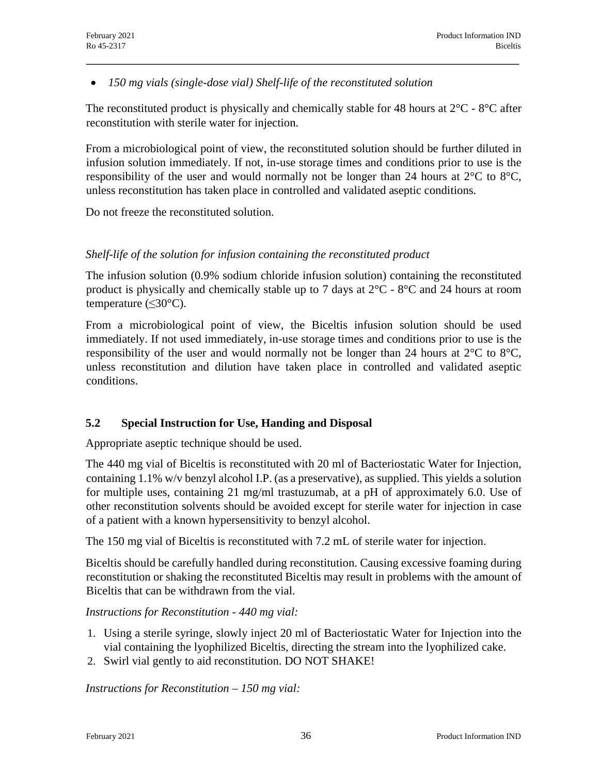· *150 mg vials (single-dose vial) Shelf-life of the reconstituted solution*

The reconstituted product is physically and chemically stable for 48 hours at  $2^{\circ}C$  -  $8^{\circ}C$  after reconstitution with sterile water for injection.

From a microbiological point of view, the reconstituted solution should be further diluted in infusion solution immediately. If not, in-use storage times and conditions prior to use is the responsibility of the user and would normally not be longer than 24 hours at  $2^{\circ}$ C to  $8^{\circ}$ C, unless reconstitution has taken place in controlled and validated aseptic conditions.

Do not freeze the reconstituted solution.

### *Shelf-life of the solution for infusion containing the reconstituted product*

The infusion solution (0.9% sodium chloride infusion solution) containing the reconstituted product is physically and chemically stable up to 7 days at 2°C - 8°C and 24 hours at room temperature (≤30°C).

From a microbiological point of view, the Biceltis infusion solution should be used immediately. If not used immediately, in-use storage times and conditions prior to use is the responsibility of the user and would normally not be longer than 24 hours at  $2^{\circ}$ C to  $8^{\circ}$ C, unless reconstitution and dilution have taken place in controlled and validated aseptic conditions.

## **5.2 Special Instruction for Use, Handing and Disposal**

Appropriate aseptic technique should be used.

The 440 mg vial of Biceltis is reconstituted with 20 ml of Bacteriostatic Water for Injection, containing 1.1% w/v benzyl alcohol I.P. (as a preservative), as supplied. This yields a solution for multiple uses, containing 21 mg/ml trastuzumab, at a pH of approximately 6.0. Use of other reconstitution solvents should be avoided except for sterile water for injection in case of a patient with a known hypersensitivity to benzyl alcohol.

The 150 mg vial of Biceltis is reconstituted with 7.2 mL of sterile water for injection.

Biceltis should be carefully handled during reconstitution. Causing excessive foaming during reconstitution or shaking the reconstituted Biceltis may result in problems with the amount of Biceltis that can be withdrawn from the vial.

### *Instructions for Reconstitution - 440 mg vial:*

- 1. Using a sterile syringe, slowly inject 20 ml of Bacteriostatic Water for Injection into the vial containing the lyophilized Biceltis, directing the stream into the lyophilized cake.
- 2. Swirl vial gently to aid reconstitution. DO NOT SHAKE!

*Instructions for Reconstitution – 150 mg vial:*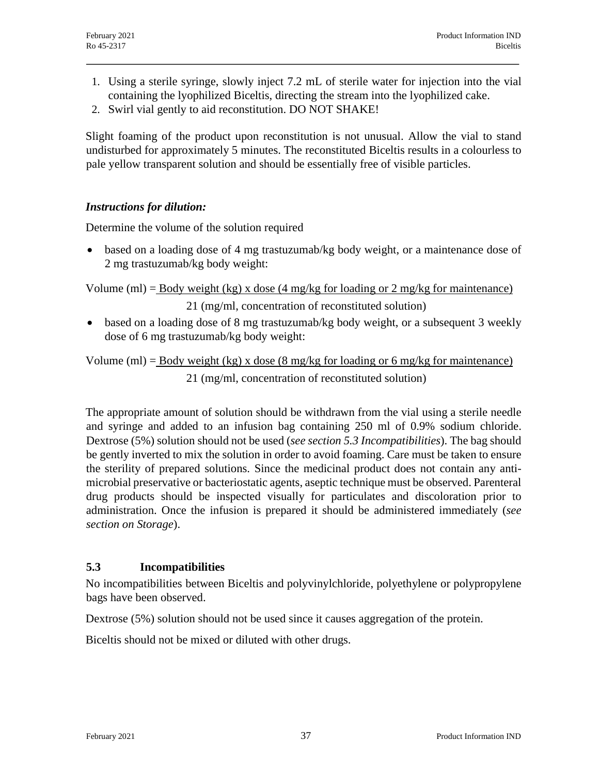- 1. Using a sterile syringe, slowly inject 7.2 mL of sterile water for injection into the vial containing the lyophilized Biceltis, directing the stream into the lyophilized cake.
- 2. Swirl vial gently to aid reconstitution. DO NOT SHAKE!

Slight foaming of the product upon reconstitution is not unusual. Allow the vial to stand undisturbed for approximately 5 minutes. The reconstituted Biceltis results in a colourless to pale yellow transparent solution and should be essentially free of visible particles.

### *Instructions for dilution:*

Determine the volume of the solution required

• based on a loading dose of 4 mg trastuzumab/kg body weight, or a maintenance dose of 2 mg trastuzumab/kg body weight:

Volume (ml) = <u>Body weight (kg) x dose (4 mg/kg</u> for loading or 2 mg/kg for maintenance)

21 (mg/ml, concentration of reconstituted solution)

• based on a loading dose of 8 mg trastuzumab/kg body weight, or a subsequent 3 weekly dose of 6 mg trastuzumab/kg body weight:

Volume (ml) = <u>Body weight (kg) x dose (8 mg/kg</u> for loading or 6 mg/kg for maintenance) 21 (mg/ml, concentration of reconstituted solution)

The appropriate amount of solution should be withdrawn from the vial using a sterile needle and syringe and added to an infusion bag containing 250 ml of 0.9% sodium chloride. Dextrose (5%) solution should not be used (*see section 5.3 Incompatibilities*). The bag should be gently inverted to mix the solution in order to avoid foaming. Care must be taken to ensure the sterility of prepared solutions. Since the medicinal product does not contain any antimicrobial preservative or bacteriostatic agents, aseptic technique must be observed. Parenteral drug products should be inspected visually for particulates and discoloration prior to administration. Once the infusion is prepared it should be administered immediately (*see section on Storage*).

### **5.3 Incompatibilities**

No incompatibilities between Biceltis and polyvinylchloride, polyethylene or polypropylene bags have been observed.

Dextrose (5%) solution should not be used since it causes aggregation of the protein.

Biceltis should not be mixed or diluted with other drugs.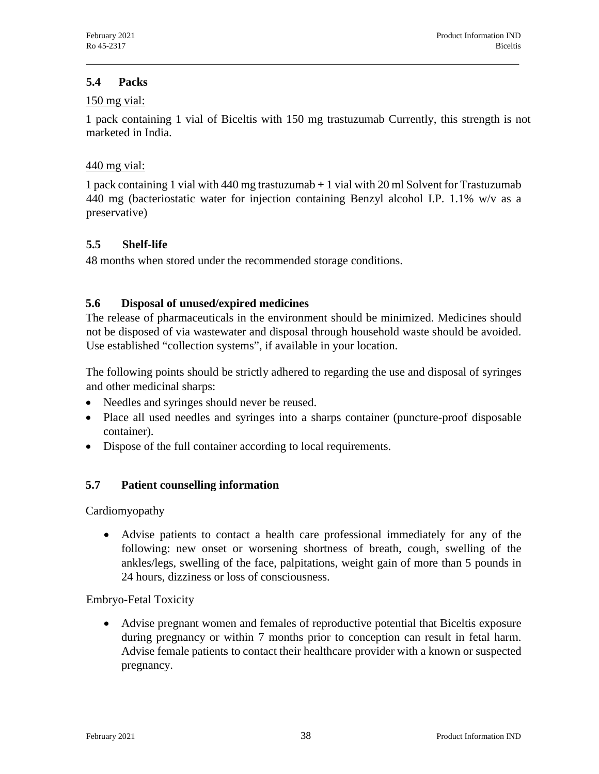### **5.4 Packs**

#### 150 mg vial:

1 pack containing 1 vial of Biceltis with 150 mg trastuzumab Currently, this strength is not marketed in India.

### 440 mg vial:

1 pack containing 1 vial with 440 mg trastuzumab **+** 1 vial with 20 ml Solvent for Trastuzumab 440 mg (bacteriostatic water for injection containing Benzyl alcohol I.P. 1.1% w/v as a preservative)

## **5.5 Shelf-life**

48 months when stored under the recommended storage conditions.

## **5.6 Disposal of unused/expired medicines**

The release of pharmaceuticals in the environment should be minimized. Medicines should not be disposed of via wastewater and disposal through household waste should be avoided. Use established "collection systems", if available in your location.

The following points should be strictly adhered to regarding the use and disposal of syringes and other medicinal sharps:

- Needles and syringes should never be reused.
- · Place all used needles and syringes into a sharps container (puncture-proof disposable container).
- · Dispose of the full container according to local requirements.

## **5.7 Patient counselling information**

Cardiomyopathy

· Advise patients to contact a health care professional immediately for any of the following: new onset or worsening shortness of breath, cough, swelling of the ankles/legs, swelling of the face, palpitations, weight gain of more than 5 pounds in 24 hours, dizziness or loss of consciousness.

Embryo-Fetal Toxicity

· Advise pregnant women and females of reproductive potential that Biceltis exposure during pregnancy or within 7 months prior to conception can result in fetal harm. Advise female patients to contact their healthcare provider with a known or suspected pregnancy.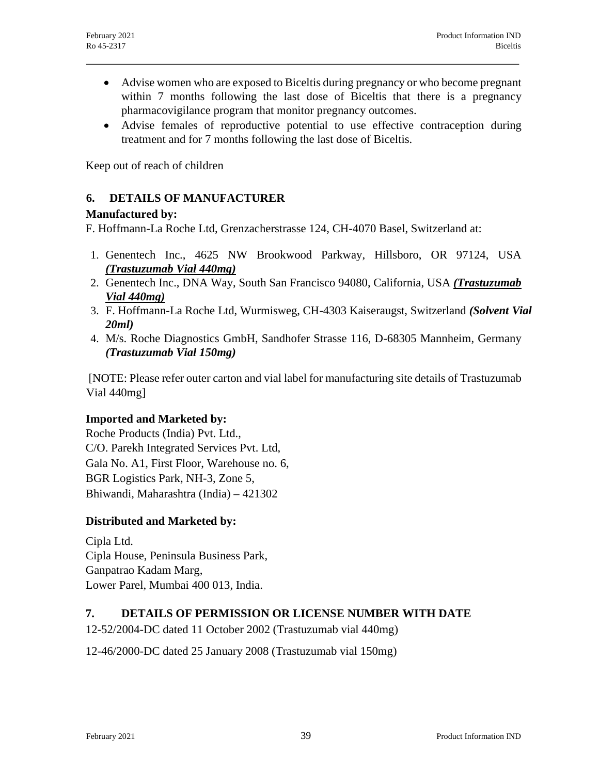- · Advise women who are exposed to Biceltis during pregnancy or who become pregnant within 7 months following the last dose of Biceltis that there is a pregnancy pharmacovigilance program that monitor pregnancy outcomes.
- · Advise females of reproductive potential to use effective contraception during treatment and for 7 months following the last dose of Biceltis.

Keep out of reach of children

### **6. DETAILS OF MANUFACTURER**

### **Manufactured by:**

F. Hoffmann-La Roche Ltd, Grenzacherstrasse 124, CH-4070 Basel, Switzerland at:

- 1. Genentech Inc., 4625 NW Brookwood Parkway, Hillsboro, OR 97124, USA *(Trastuzumab Vial 440mg)*
- 2. Genentech Inc., DNA Way, South San Francisco 94080, California, USA *(Trastuzumab Vial 440mg)*
- 3. F. Hoffmann-La Roche Ltd, Wurmisweg, CH-4303 Kaiseraugst, Switzerland *(Solvent Vial 20ml)*
- 4. M/s. Roche Diagnostics GmbH, Sandhofer Strasse 116, D-68305 Mannheim, Germany *(Trastuzumab Vial 150mg)*

[NOTE: Please refer outer carton and vial label for manufacturing site details of Trastuzumab Vial 440mg]

### **Imported and Marketed by:**

Roche Products (India) Pvt. Ltd., C/O. Parekh Integrated Services Pvt. Ltd, Gala No. A1, First Floor, Warehouse no. 6, BGR Logistics Park, NH-3, Zone 5, Bhiwandi, Maharashtra (India) – 421302

### **Distributed and Marketed by:**

Cipla Ltd. Cipla House, Peninsula Business Park, Ganpatrao Kadam Marg, Lower Parel, Mumbai 400 013, India.

### **7. DETAILS OF PERMISSION OR LICENSE NUMBER WITH DATE**

12-52/2004-DC dated 11 October 2002 (Trastuzumab vial 440mg)

12-46/2000-DC dated 25 January 2008 (Trastuzumab vial 150mg)